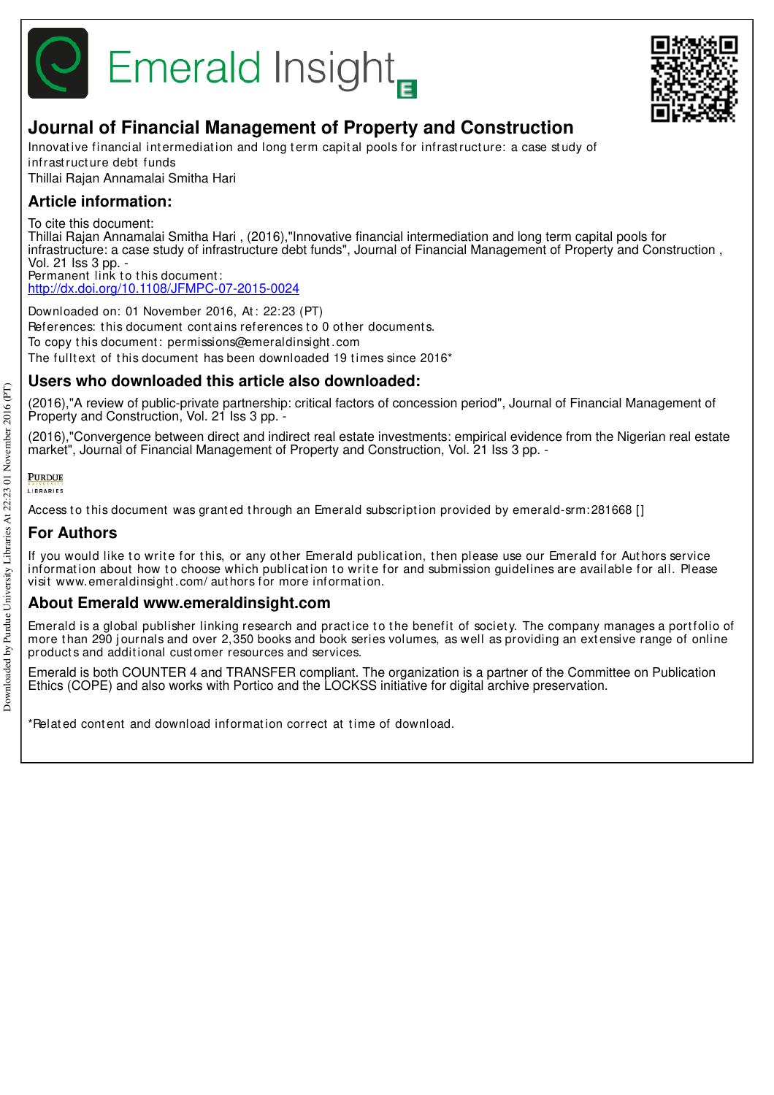



# **Journal of Financial Management of Property and Construction**

Innovative financial intermediation and long term capital pools for infrastructure: a case study of infrast ruct ure debt funds

Thillai Rajan Annamalai Smitha Hari

## **Article information:**

To cite this document:

Thillai Rajan Annamalai Smitha Hari , (2016),"Innovative financial intermediation and long term capital pools for infrastructure: a case study of infrastructure debt funds", Journal of Financial Management of Property and Construction, Vol. 21 Iss 3 pp. - Permanent link to this document:

http://dx.doi.org/10.1108/JFMPC-07-2015-0024

Downloaded on: 01 November 2016, At : 22:23 (PT) References: this document contains references to 0 other documents. To copy t his document : permissions@emeraldinsight .com The fulltext of this document has been downloaded 19 times since 2016<sup>\*</sup>

## **Users who downloaded this article also downloaded:**

(2016),"A review of public-private partnership: critical factors of concession period", Journal of Financial Management of Property and Construction, Vol. 21 Iss 3 pp. -

(2016),"Convergence between direct and indirect real estate investments: empirical evidence from the Nigerian real estate market", Journal of Financial Management of Property and Construction, Vol. 21 Iss 3 pp. -

#### **PURDUE** LIBRARIES

Access to this document was granted through an Emerald subscription provided by emerald-srm:281668 []

## **For Authors**

If you would like to write for this, or any other Emerald publication, then please use our Emerald for Authors service information about how to choose which publication to write for and submission guidelines are available for all. Please visit www.emeraldinsight .com/ aut hors for more informat ion.

## **About Emerald www.emeraldinsight.com**

Emerald is a global publisher linking research and practice to the benefit of society. The company manages a portfolio of more than 290 journals and over 2,350 books and book series volumes, as well as providing an extensive range of online product s and addit ional cust omer resources and services.

Emerald is both COUNTER 4 and TRANSFER compliant. The organization is a partner of the Committee on Publication Ethics (COPE) and also works with Portico and the LOCKSS initiative for digital archive preservation.

\*Relat ed cont ent and download informat ion correct at t ime of download.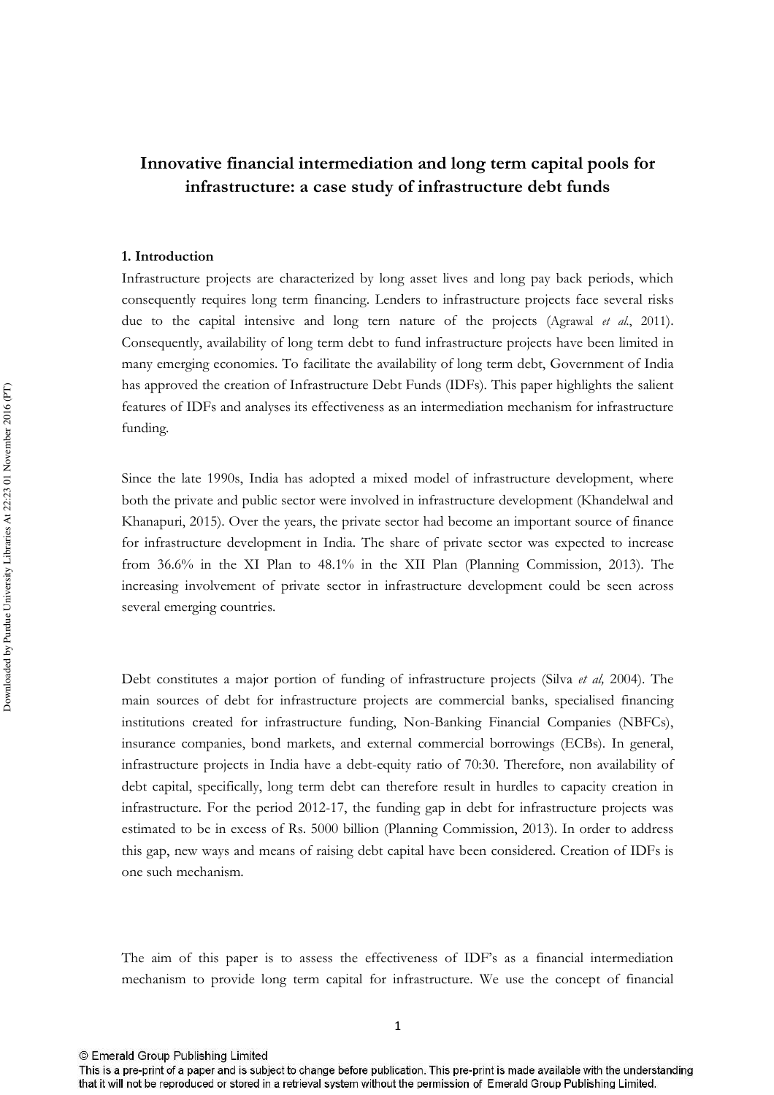## Innovative financial intermediation and long term capital pools for infrastructure: a case study of infrastructure debt funds

#### 1. Introduction

Infrastructure projects are characterized by long asset lives and long pay back periods, which consequently requires long term financing. Lenders to infrastructure projects face several risks due to the capital intensive and long tern nature of the projects (Agrawal et al., 2011). Consequently, availability of long term debt to fund infrastructure projects have been limited in many emerging economies. To facilitate the availability of long term debt, Government of India has approved the creation of Infrastructure Debt Funds (IDFs). This paper highlights the salient features of IDFs and analyses its effectiveness as an intermediation mechanism for infrastructure funding.

Since the late 1990s. India has adopted a mixed model of infrastructure development, where both the private and public sector were involved in infrastructure development (Khandelwal and Khanapuri, 2015). Over the years, the private sector had become an important source of finance for infrastructure development in India. The share of private sector was expected to increase from 36.6% in the XI Plan to 48.1% in the XII Plan (Planning Commission, 2013). The increasing involvement of private sector in infrastructure development could be seen across several emerging countries.

Debt constitutes a major portion of funding of infrastructure projects (Silva et al, 2004). The main sources of debt for infrastructure projects are commercial banks, specialised financing institutions created for infrastructure funding, Non-Banking Financial Companies (NBFCs), insurance companies, bond markets, and external commercial borrowings (ECBs). In general, infrastructure projects in India have a debt-equity ratio of 70:30. Therefore, non availability of debt capital, specifically, long term debt can therefore result in hurdles to capacity creation in infrastructure. For the period 2012-17, the funding gap in debt for infrastructure projects was estimated to be in excess of Rs. 5000 billion (Planning Commission, 2013). In order to address this gap, new ways and means of raising debt capital have been considered. Creation of IDFs is one such mechanism.

The aim of this paper is to assess the effectiveness of IDF's as a financial intermediation mechanism to provide long term capital for infrastructure. We use the concept of financial

Downloaded by Purdue University Libraries At 22:23 01 November 2016 (PT)

<sup>©</sup> Emerald Group Publishing Limited

This is a pre-print of a paper and is subject to change before publication. This pre-print is made available with the understanding that it will not be reproduced or stored in a retrieval system without the permission of Emerald Group Publishing Limited.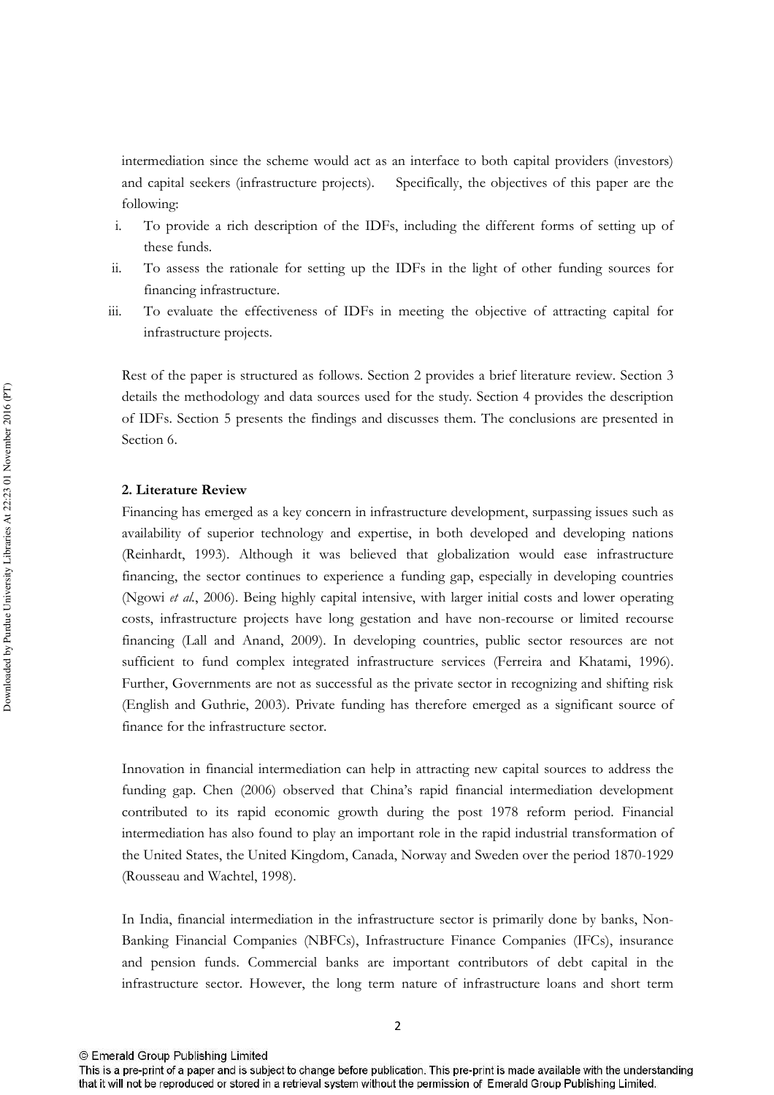intermediation since the scheme would act as an interface to both capital providers (investors) Specifically, the objectives of this paper are the and capital seekers (infrastructure projects). following:

- To provide a rich description of the IDFs, including the different forms of setting up of  $\mathbf{i}$ . these funds.
- To assess the rationale for setting up the IDFs in the light of other funding sources for ii. financing infrastructure.
- $\overline{111}$ . To evaluate the effectiveness of IDFs in meeting the objective of attracting capital for infrastructure projects.

Rest of the paper is structured as follows. Section 2 provides a brief literature review. Section 3 details the methodology and data sources used for the study. Section 4 provides the description of IDFs. Section 5 presents the findings and discusses them. The conclusions are presented in Section 6.

## 2. Literature Review

Financing has emerged as a key concern in infrastructure development, surpassing issues such as availability of superior technology and expertise, in both developed and developing nations (Reinhardt, 1993). Although it was believed that globalization would ease infrastructure financing, the sector continues to experience a funding gap, especially in developing countries (Ngowi et al., 2006). Being highly capital intensive, with larger initial costs and lower operating costs, infrastructure projects have long gestation and have non-recourse or limited recourse financing (Lall and Anand, 2009). In developing countries, public sector resources are not sufficient to fund complex integrated infrastructure services (Ferreira and Khatami, 1996). Further, Governments are not as successful as the private sector in recognizing and shifting risk (English and Guthrie, 2003). Private funding has therefore emerged as a significant source of finance for the infrastructure sector.

Innovation in financial intermediation can help in attracting new capital sources to address the funding gap. Chen (2006) observed that China's rapid financial intermediation development contributed to its rapid economic growth during the post 1978 reform period. Financial intermediation has also found to play an important role in the rapid industrial transformation of the United States, the United Kingdom, Canada, Norway and Sweden over the period 1870-1929 (Rousseau and Wachtel, 1998).

In India, financial intermediation in the infrastructure sector is primarily done by banks, Non-Banking Financial Companies (NBFCs), Infrastructure Finance Companies (IFCs), insurance and pension funds. Commercial banks are important contributors of debt capital in the infrastructure sector. However, the long term nature of infrastructure loans and short term

This is a pre-print of a paper and is subject to change before publication. This pre-print is made available with the understanding that it will not be reproduced or stored in a retrieval system without the permission of Emerald Group Publishing Limited.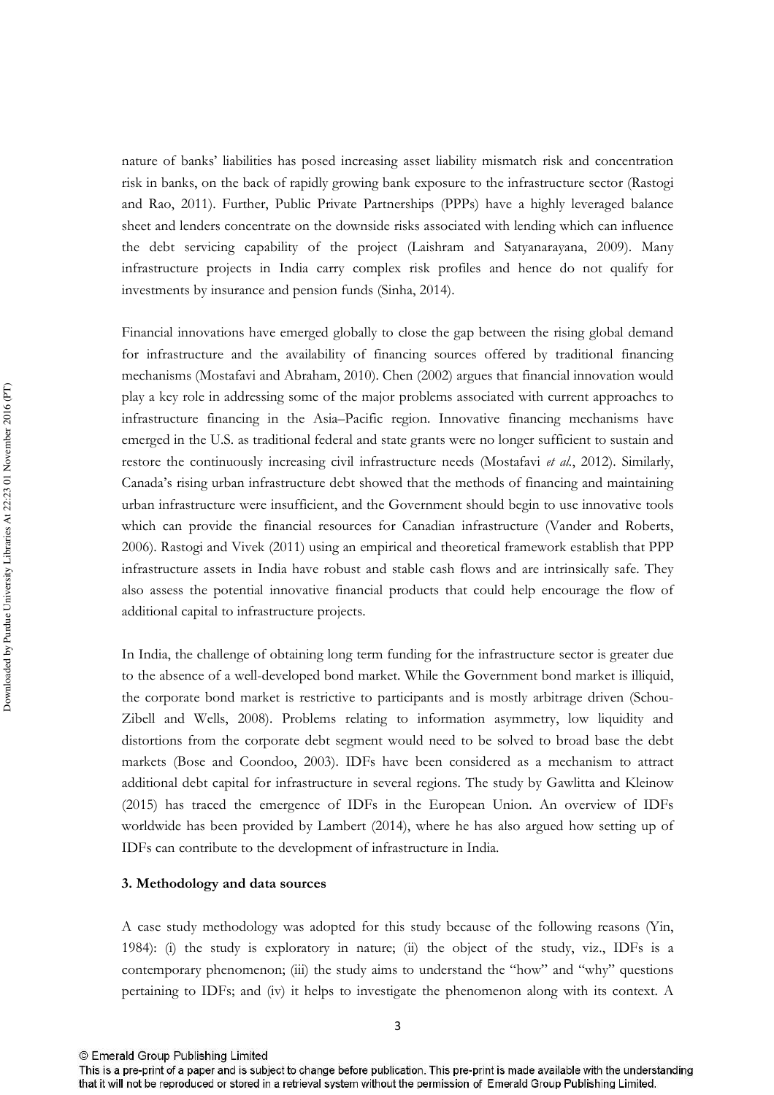nature of banks' liabilities has posed increasing asset liability mismatch risk and concentration risk in banks, on the back of rapidly growing bank exposure to the infrastructure sector (Rastogi and Rao, 2011). Further, Public Private Partnerships (PPPs) have a highly leveraged balance sheet and lenders concentrate on the downside risks associated with lending which can influence the debt servicing capability of the project (Laishram and Satyanarayana, 2009). Many infrastructure projects in India carry complex risk profiles and hence do not qualify for investments by insurance and pension funds (Sinha, 2014).

Financial innovations have emerged globally to close the gap between the rising global demand for infrastructure and the availability of financing sources offered by traditional financing mechanisms (Mostafavi and Abraham, 2010). Chen (2002) argues that financial innovation would play a key role in addressing some of the major problems associated with current approaches to infrastructure financing in the Asia-Pacific region. Innovative financing mechanisms have emerged in the U.S. as traditional federal and state grants were no longer sufficient to sustain and restore the continuously increasing civil infrastructure needs (Mostafavi et al., 2012). Similarly, Canada's rising urban infrastructure debt showed that the methods of financing and maintaining urban infrastructure were insufficient, and the Government should begin to use innovative tools which can provide the financial resources for Canadian infrastructure (Vander and Roberts, 2006). Rastogi and Vivek (2011) using an empirical and theoretical framework establish that PPP infrastructure assets in India have robust and stable cash flows and are intrinsically safe. They also assess the potential innovative financial products that could help encourage the flow of additional capital to infrastructure projects.

In India, the challenge of obtaining long term funding for the infrastructure sector is greater due to the absence of a well-developed bond market. While the Government bond market is illiquid, the corporate bond market is restrictive to participants and is mostly arbitrage driven (Schou-Zibell and Wells, 2008). Problems relating to information asymmetry, low liquidity and distortions from the corporate debt segment would need to be solved to broad base the debt markets (Bose and Coondoo, 2003). IDFs have been considered as a mechanism to attract additional debt capital for infrastructure in several regions. The study by Gawlitta and Kleinow (2015) has traced the emergence of IDFs in the European Union. An overview of IDFs worldwide has been provided by Lambert (2014), where he has also argued how setting up of IDFs can contribute to the development of infrastructure in India.

#### 3. Methodology and data sources

A case study methodology was adopted for this study because of the following reasons (Yin, 1984): (i) the study is exploratory in nature; (ii) the object of the study, viz., IDFs is a contemporary phenomenon; (iii) the study aims to understand the "how" and "why" questions pertaining to IDFs; and (iv) it helps to investigate the phenomenon along with its context. A

 $\overline{\mathbf{3}}$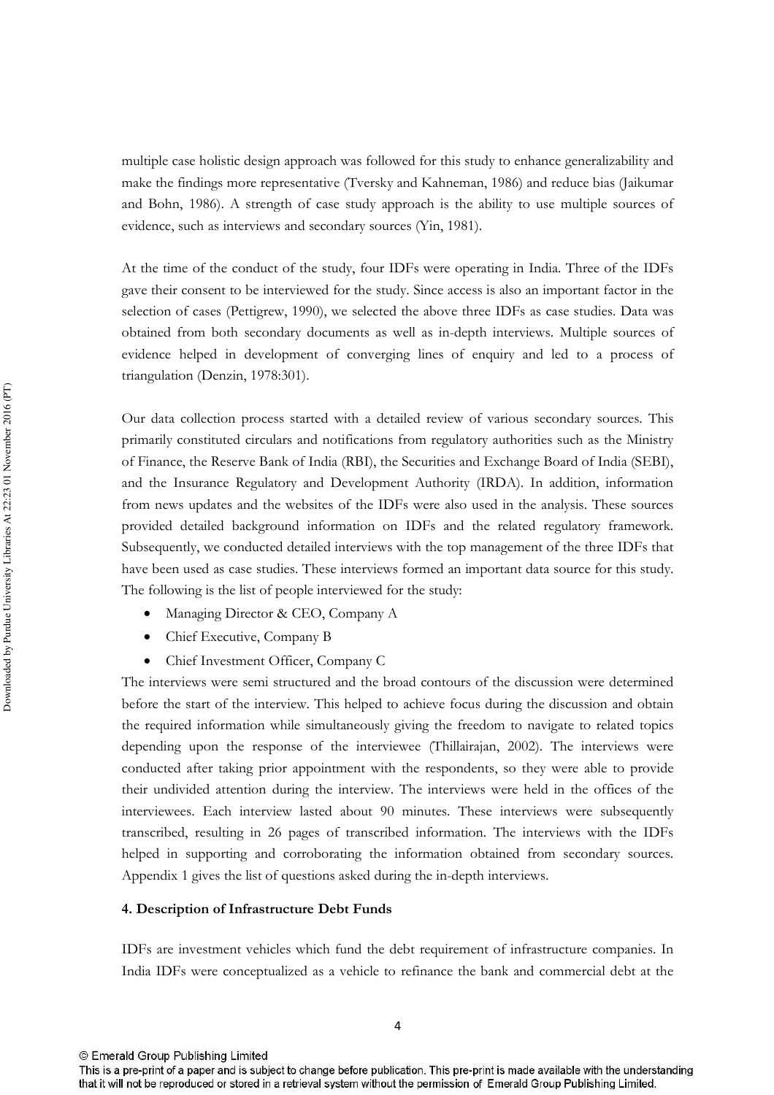multiple case holistic design approach was followed for this study to enhance generalizability and make the findings more representative (Tversky and Kahneman, 1986) and reduce bias (Jaikumar and Bohn, 1986). A strength of case study approach is the ability to use multiple sources of evidence, such as interviews and secondary sources (Yin, 1981).

At the time of the conduct of the study, four IDFs were operating in India. Three of the IDFs gave their consent to be interviewed for the study. Since access is also an important factor in the selection of cases (Pettigrew, 1990), we selected the above three IDFs as case studies. Data was obtained from both secondary documents as well as in-depth interviews. Multiple sources of evidence helped in development of converging lines of enquiry and led to a process of triangulation (Denzin, 1978:301).

Our data collection process started with a detailed review of various secondary sources. This primarily constituted circulars and notifications from regulatory authorities such as the Ministry of Finance, the Reserve Bank of India (RBI), the Securities and Exchange Board of India (SEBI), and the Insurance Regulatory and Development Authority (IRDA). In addition, information from news updates and the websites of the IDFs were also used in the analysis. These sources provided detailed background information on IDFs and the related regulatory framework. Subsequently, we conducted detailed interviews with the top management of the three IDFs that have been used as case studies. These interviews formed an important data source for this study. The following is the list of people interviewed for the study:

- Managing Director & CEO, Company A
- Chief Executive, Company B  $\bullet$
- Chief Investment Officer, Company C

The interviews were semi structured and the broad contours of the discussion were determined before the start of the interview. This helped to achieve focus during the discussion and obtain the required information while simultaneously giving the freedom to navigate to related topics depending upon the response of the interviewee (Thillairajan, 2002). The interviews were conducted after taking prior appointment with the respondents, so they were able to provide their undivided attention during the interview. The interviews were held in the offices of the interviewees. Each interview lasted about 90 minutes. These interviews were subsequently transcribed, resulting in 26 pages of transcribed information. The interviews with the IDFs helped in supporting and corroborating the information obtained from secondary sources. Appendix 1 gives the list of questions asked during the in-depth interviews.

## 4. Description of Infrastructure Debt Funds

IDFs are investment vehicles which fund the debt requirement of infrastructure companies. In India IDFs were conceptualized as a vehicle to refinance the bank and commercial debt at the

This is a pre-print of a paper and is subject to change before publication. This pre-print is made available with the understanding that it will not be reproduced or stored in a retrieval system without the permission of Emerald Group Publishing Limited.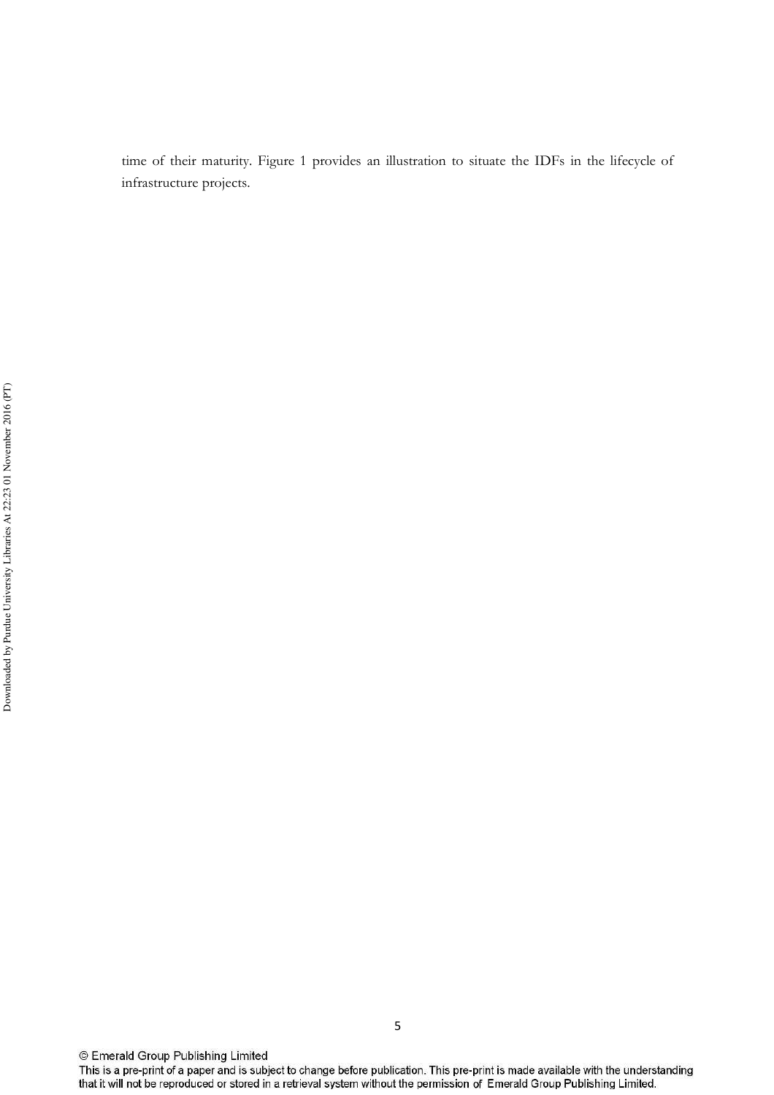time of their maturity. Figure 1 provides an illustration to situate the IDFs in the lifecycle of infrastructure projects.

© Emerald Group Publishing Limited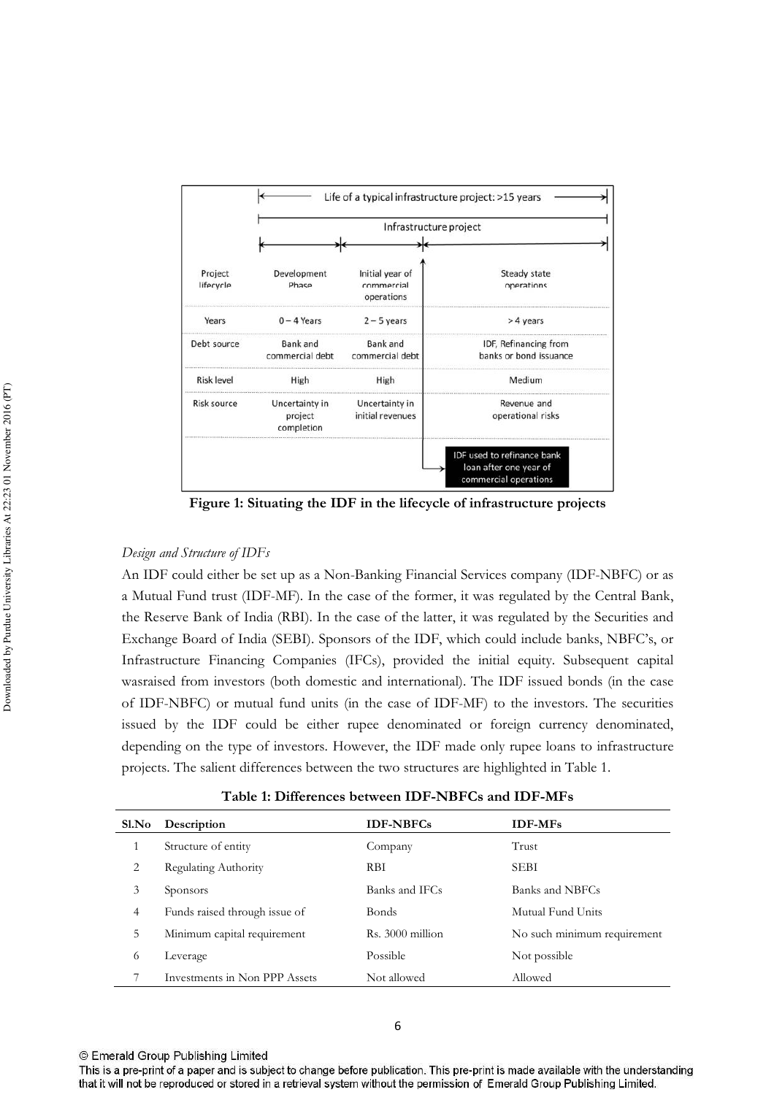

Figure 1: Situating the IDF in the lifecycle of infrastructure projects

## Design and Structure of IDFs

An IDF could either be set up as a Non-Banking Financial Services company (IDF-NBFC) or as a Mutual Fund trust (IDF-MF). In the case of the former, it was regulated by the Central Bank, the Reserve Bank of India (RBI). In the case of the latter, it was regulated by the Securities and Exchange Board of India (SEBI). Sponsors of the IDF, which could include banks, NBFC's, or Infrastructure Financing Companies (IFCs), provided the initial equity. Subsequent capital was raised from investors (both domestic and international). The IDF issued bonds (in the case of IDF-NBFC) or mutual fund units (in the case of IDF-MF) to the investors. The securities issued by the IDF could be either rupee denominated or foreign currency denominated, depending on the type of investors. However, the IDF made only rupee loans to infrastructure projects. The salient differences between the two structures are highlighted in Table 1.

| Sl.No | Description                   | <b>IDF-NBFCs</b>     | <b>IDF-MFs</b>              |
|-------|-------------------------------|----------------------|-----------------------------|
| 1     | Structure of entity           | Company              | Trust                       |
| 2     | Regulating Authority          | <b>RBI</b>           | <b>SEBI</b>                 |
| 3     | Sponsors                      | Banks and IFCs       | Banks and NBFCs             |
| 4     | Funds raised through issue of | <b>Bonds</b>         | Mutual Fund Units           |
| 5     | Minimum capital requirement   | $R_s$ , 3000 million | No such minimum requirement |
| 6     | Leverage                      | Possible             | Not possible                |
|       | Investments in Non PPP Assets | Not allowed          | Allowed                     |
|       |                               |                      |                             |

Table 1: Differences between IDF-NBFCs and IDF-MFs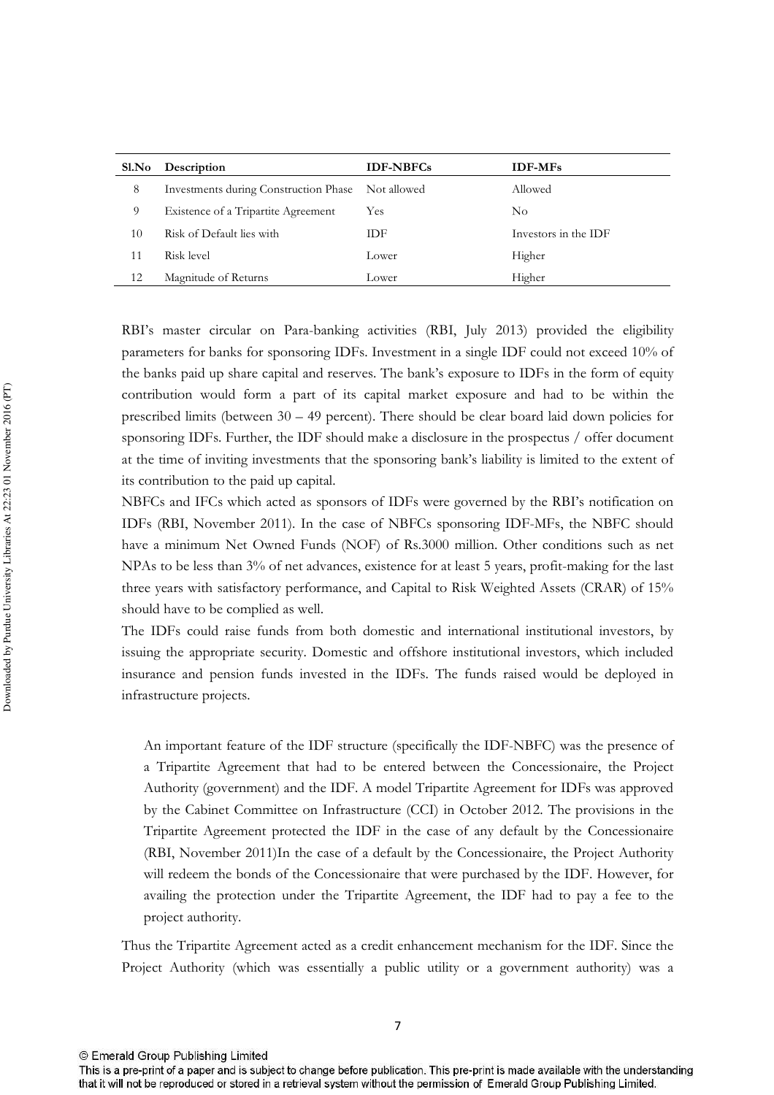| Sl.No | Description                                       | <b>IDF-NBFCs</b> | <b>IDF-MFs</b>       |
|-------|---------------------------------------------------|------------------|----------------------|
| 8     | Investments during Construction Phase Not allowed |                  | Allowed              |
| 9     | Existence of a Tripartite Agreement               | Yes              | $\rm No$             |
| 10    | Risk of Default lies with                         | IDF              | Investors in the IDF |
| 11    | Risk level                                        | Lower            | Higher               |
| 12    | Magnitude of Returns                              | Lower            | Higher               |

RBI's master circular on Para-banking activities (RBI, July 2013) provided the eligibility parameters for banks for sponsoring IDFs. Investment in a single IDF could not exceed 10% of the banks paid up share capital and reserves. The bank's exposure to IDFs in the form of equity contribution would form a part of its capital market exposure and had to be within the prescribed limits (between  $30 - 49$  percent). There should be clear board laid down policies for sponsoring IDFs. Further, the IDF should make a disclosure in the prospectus / offer document at the time of inviting investments that the sponsoring bank's liability is limited to the extent of its contribution to the paid up capital.

NBFCs and IFCs which acted as sponsors of IDFs were governed by the RBI's notification on IDFs (RBI, November 2011). In the case of NBFCs sponsoring IDF-MFs, the NBFC should have a minimum Net Owned Funds (NOF) of Rs.3000 million. Other conditions such as net NPAs to be less than 3% of net advances, existence for at least 5 years, profit-making for the last three years with satisfactory performance, and Capital to Risk Weighted Assets (CRAR) of 15% should have to be complied as well.

The IDFs could raise funds from both domestic and international institutional investors, by issuing the appropriate security. Domestic and offshore institutional investors, which included insurance and pension funds invested in the IDFs. The funds raised would be deployed in infrastructure projects.

An important feature of the IDF structure (specifically the IDF-NBFC) was the presence of a Tripartite Agreement that had to be entered between the Concessionaire, the Project Authority (government) and the IDF. A model Tripartite Agreement for IDFs was approved by the Cabinet Committee on Infrastructure (CCI) in October 2012. The provisions in the Tripartite Agreement protected the IDF in the case of any default by the Concessionaire (RBI, November 2011)In the case of a default by the Concessionaire, the Project Authority will redeem the bonds of the Concessionaire that were purchased by the IDF. However, for availing the protection under the Tripartite Agreement, the IDF had to pay a fee to the project authority.

Thus the Tripartite Agreement acted as a credit enhancement mechanism for the IDF. Since the Project Authority (which was essentially a public utility or a government authority) was a

This is a pre-print of a paper and is subject to change before publication. This pre-print is made available with the understanding that it will not be reproduced or stored in a retrieval system without the permission of Emerald Group Publishing Limited.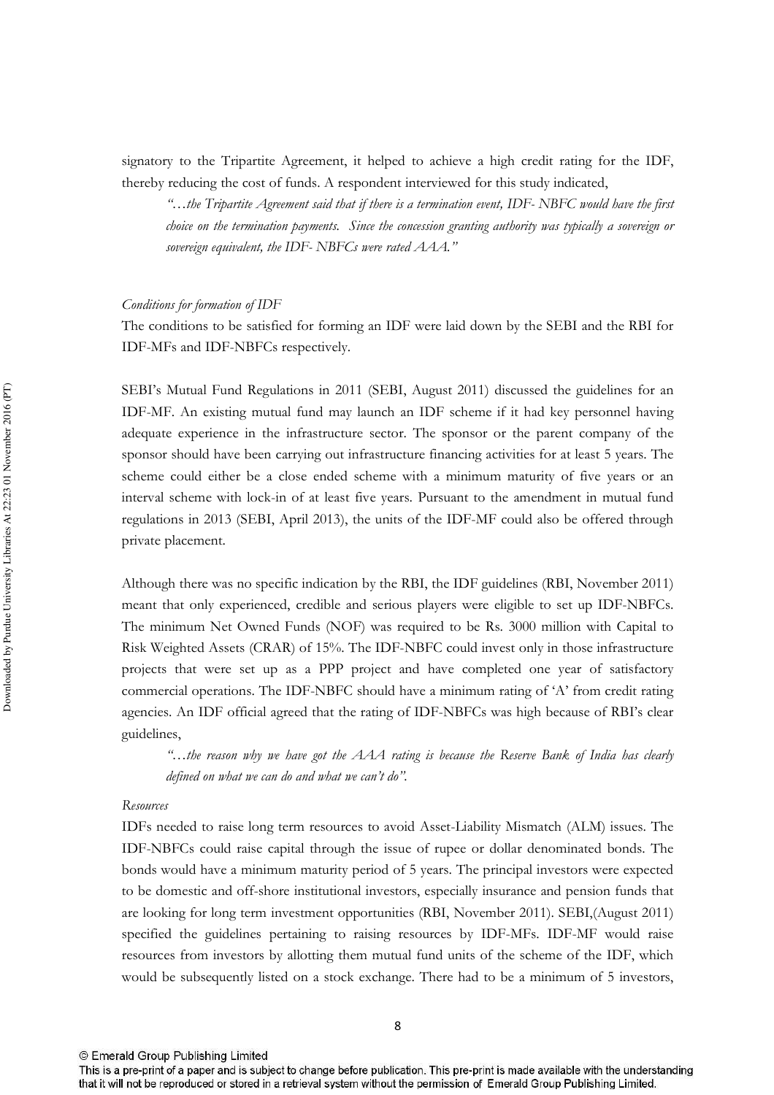signatory to the Tripartite Agreement, it helped to achieve a high credit rating for the IDF, thereby reducing the cost of funds. A respondent interviewed for this study indicated,

"...the Tripartite Agreement said that if there is a termination event, IDF-NBFC would have the first choice on the termination payments. Since the concession granting authority was typically a sovereign or sovereign equivalent, the IDF-NBFCs were rated AAA."

#### Conditions for formation of IDF

The conditions to be satisfied for forming an IDF were laid down by the SEBI and the RBI for IDF-MFs and IDF-NBFCs respectively.

SEBI's Mutual Fund Regulations in 2011 (SEBI, August 2011) discussed the guidelines for an IDF-MF. An existing mutual fund may launch an IDF scheme if it had key personnel having adequate experience in the infrastructure sector. The sponsor or the parent company of the sponsor should have been carrying out infrastructure financing activities for at least 5 years. The scheme could either be a close ended scheme with a minimum maturity of five years or an interval scheme with lock-in of at least five years. Pursuant to the amendment in mutual fund regulations in 2013 (SEBI, April 2013), the units of the IDF-MF could also be offered through private placement.

Although there was no specific indication by the RBI, the IDF guidelines (RBI, November 2011) meant that only experienced, credible and serious players were eligible to set up IDF-NBFCs. The minimum Net Owned Funds (NOF) was required to be Rs. 3000 million with Capital to Risk Weighted Assets (CRAR) of 15%. The IDF-NBFC could invest only in those infrastructure projects that were set up as a PPP project and have completed one year of satisfactory commercial operations. The IDF-NBFC should have a minimum rating of 'A' from credit rating agencies. An IDF official agreed that the rating of IDF-NBFCs was high because of RBI's clear guidelines.

...the reason why we have got the AAA rating is because the Reserve Bank of India has clearly defined on what we can do and what we can't do".

#### Resources

IDFs needed to raise long term resources to avoid Asset-Liability Mismatch (ALM) issues. The IDF-NBFCs could raise capital through the issue of rupee or dollar denominated bonds. The bonds would have a minimum maturity period of 5 years. The principal investors were expected to be domestic and off-shore institutional investors, especially insurance and pension funds that are looking for long term investment opportunities (RBI, November 2011). SEBI, (August 2011) specified the guidelines pertaining to raising resources by IDF-MFs. IDF-MF would raise resources from investors by allotting them mutual fund units of the scheme of the IDF, which would be subsequently listed on a stock exchange. There had to be a minimum of 5 investors,

<sup>8</sup> 

This is a pre-print of a paper and is subject to change before publication. This pre-print is made available with the understanding that it will not be reproduced or stored in a retrieval system without the permission of Emerald Group Publishing Limited.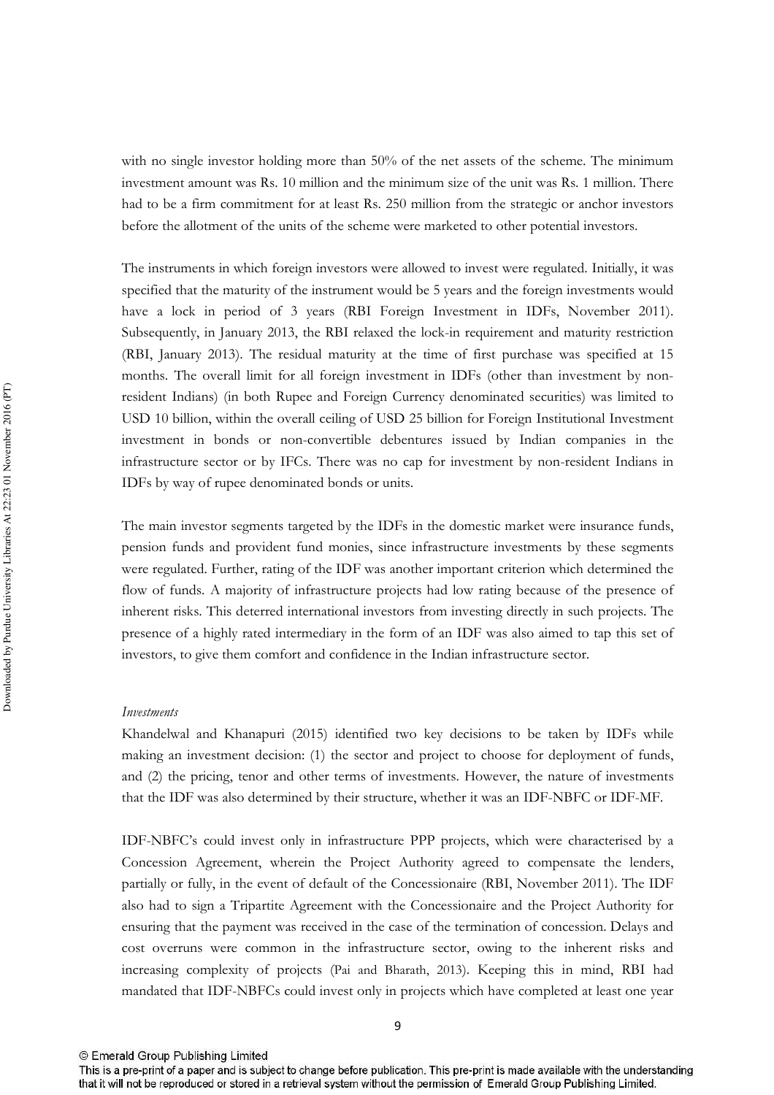with no single investor holding more than 50% of the net assets of the scheme. The minimum investment amount was Rs. 10 million and the minimum size of the unit was Rs. 1 million. There had to be a firm commitment for at least Rs. 250 million from the strategic or anchor investors before the allotment of the units of the scheme were marketed to other potential investors.

The instruments in which foreign investors were allowed to invest were regulated. Initially, it was specified that the maturity of the instrument would be 5 years and the foreign investments would have a lock in period of 3 years (RBI Foreign Investment in IDFs, November 2011). Subsequently, in January 2013, the RBI relaxed the lock-in requirement and maturity restriction (RBI, January 2013). The residual maturity at the time of first purchase was specified at 15 months. The overall limit for all foreign investment in IDFs (other than investment by nonresident Indians) (in both Rupee and Foreign Currency denominated securities) was limited to USD 10 billion, within the overall ceiling of USD 25 billion for Foreign Institutional Investment investment in bonds or non-convertible debentures issued by Indian companies in the infrastructure sector or by IFCs. There was no cap for investment by non-resident Indians in IDFs by way of rupee denominated bonds or units.

The main investor segments targeted by the IDFs in the domestic market were insurance funds, pension funds and provident fund monies, since infrastructure investments by these segments were regulated. Further, rating of the IDF was another important criterion which determined the flow of funds. A majority of infrastructure projects had low rating because of the presence of inherent risks. This deterred international investors from investing directly in such projects. The presence of a highly rated intermediary in the form of an IDF was also aimed to tap this set of investors, to give them comfort and confidence in the Indian infrastructure sector.

#### *Investments*

Khandelwal and Khanapuri (2015) identified two key decisions to be taken by IDFs while making an investment decision: (1) the sector and project to choose for deployment of funds, and (2) the pricing, tenor and other terms of investments. However, the nature of investments that the IDF was also determined by their structure, whether it was an IDF-NBFC or IDF-MF.

IDF-NBFC's could invest only in infrastructure PPP projects, which were characterised by a Concession Agreement, wherein the Project Authority agreed to compensate the lenders, partially or fully, in the event of default of the Concessionaire (RBI, November 2011). The IDF also had to sign a Tripartite Agreement with the Concessionaire and the Project Authority for ensuring that the payment was received in the case of the termination of concession. Delays and cost overruns were common in the infrastructure sector, owing to the inherent risks and increasing complexity of projects (Pai and Bharath, 2013). Keeping this in mind, RBI had mandated that IDF-NBFCs could invest only in projects which have completed at least one year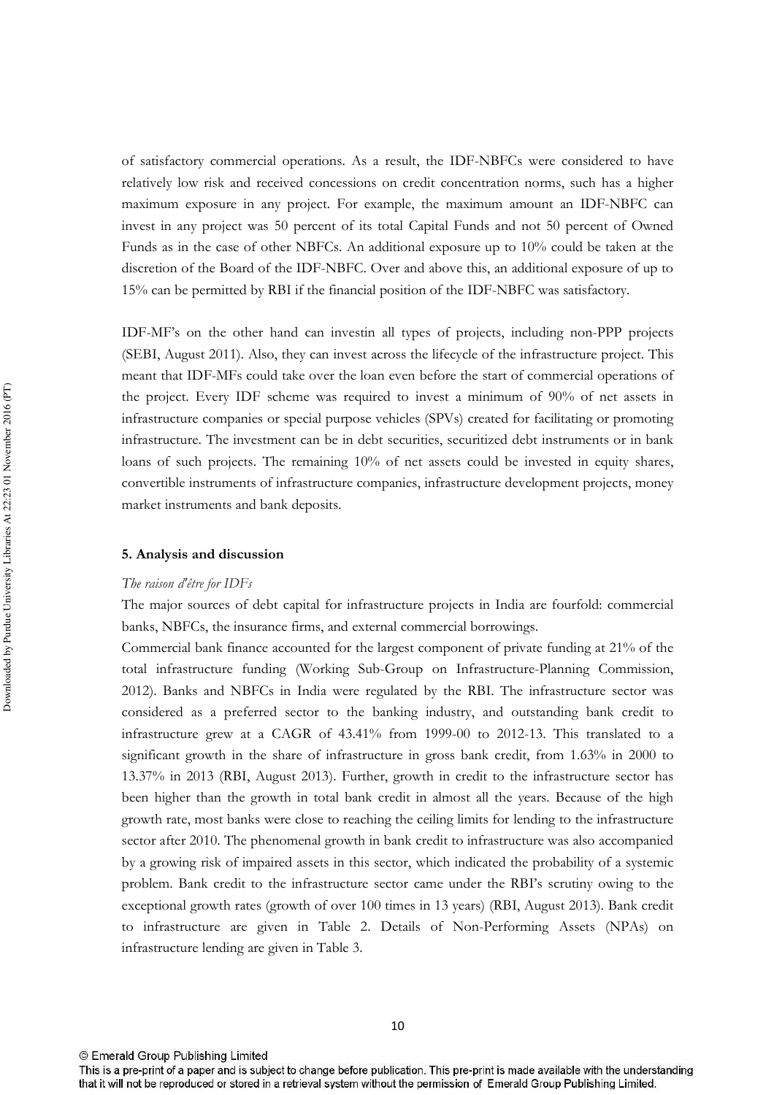of satisfactory commercial operations. As a result, the IDF-NBFCs were considered to have relatively low risk and received concessions on credit concentration norms, such has a higher maximum exposure in any project. For example, the maximum amount an IDF-NBFC can invest in any project was 50 percent of its total Capital Funds and not 50 percent of Owned Funds as in the case of other NBFCs. An additional exposure up to 10% could be taken at the discretion of the Board of the IDF-NBFC. Over and above this, an additional exposure of up to 15% can be permitted by RBI if the financial position of the IDF-NBFC was satisfactory.

IDF-MF's on the other hand can investin all types of projects, including non-PPP projects (SEBI, August 2011). Also, they can invest across the lifecycle of the infrastructure project. This meant that IDF-MFs could take over the loan even before the start of commercial operations of the project. Every IDF scheme was required to invest a minimum of 90% of net assets in infrastructure companies or special purpose vehicles (SPVs) created for facilitating or promoting infrastructure. The investment can be in debt securities, securitized debt instruments or in bank loans of such projects. The remaining 10% of net assets could be invested in equity shares, convertible instruments of infrastructure companies, infrastructure development projects, money market instruments and bank deposits.

#### 5. Analysis and discussion

#### The raison d'être for IDFs

The major sources of debt capital for infrastructure projects in India are fourfold: commercial banks, NBFCs, the insurance firms, and external commercial borrowings.

Commercial bank finance accounted for the largest component of private funding at 21% of the total infrastructure funding (Working Sub-Group on Infrastructure-Planning Commission, 2012). Banks and NBFCs in India were regulated by the RBI. The infrastructure sector was considered as a preferred sector to the banking industry, and outstanding bank credit to infrastructure grew at a CAGR of 43.41% from 1999-00 to 2012-13. This translated to a significant growth in the share of infrastructure in gross bank credit, from 1.63% in 2000 to 13.37% in 2013 (RBI, August 2013). Further, growth in credit to the infrastructure sector has been higher than the growth in total bank credit in almost all the years. Because of the high growth rate, most banks were close to reaching the ceiling limits for lending to the infrastructure sector after 2010. The phenomenal growth in bank credit to infrastructure was also accompanied by a growing risk of impaired assets in this sector, which indicated the probability of a systemic problem. Bank credit to the infrastructure sector came under the RBI's scrutiny owing to the exceptional growth rates (growth of over 100 times in 13 years) (RBI, August 2013). Bank credit to infrastructure are given in Table 2. Details of Non-Performing Assets (NPAs) on infrastructure lending are given in Table 3.

<sup>©</sup> Emerald Group Publishing Limited

This is a pre-print of a paper and is subject to change before publication. This pre-print is made available with the understanding that it will not be reproduced or stored in a retrieval system without the permission of Emerald Group Publishing Limited.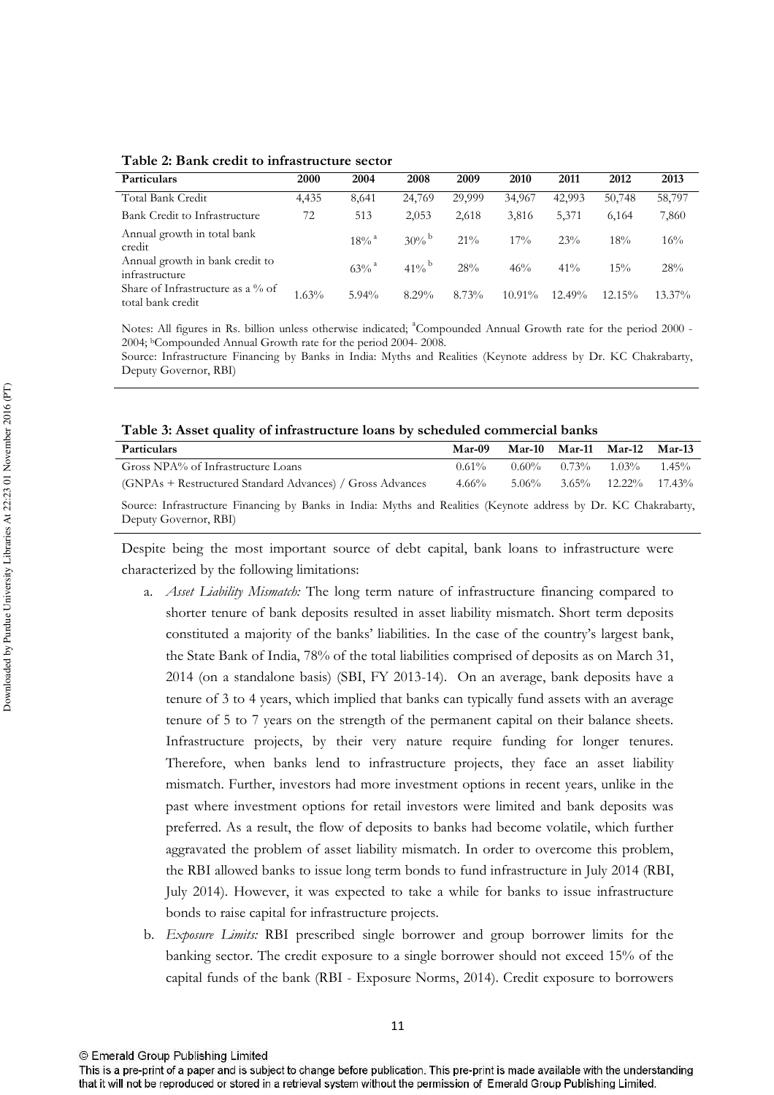Table 2: Bank credit to infrastructure sector

| Particulars                                            | 2000  | 2004                | 2008                | 2009   | 2010      | 2011      | 2012      | 2013      |
|--------------------------------------------------------|-------|---------------------|---------------------|--------|-----------|-----------|-----------|-----------|
| Total Bank Credit                                      | 4,435 | 8,641               | 24,769              | 29,999 | 34,967    | 42.993    | 50,748    | 58,797    |
| Bank Credit to Infrastructure                          | 72    | 513                 | 2,053               | 2,618  | 3,816     | 5,371     | 6.164     | 7,860     |
| Annual growth in total bank<br>credit                  |       | $18\%$ <sup>a</sup> | $30\%$ <sup>b</sup> | $21\%$ | $17\%$    | 23%       | 18%       | 16%       |
| Annual growth in bank credit to<br>infrastructure      |       | $63\%$ <sup>a</sup> | $41\%$ <sup>b</sup> | 28%    | 46%       | $41\%$    | 15%       | 28%       |
| Share of Infrastructure as a % of<br>total bank credit | 1.63% | $5.94\%$            | $8.29\%$            | 8.73%  | $10.91\%$ | $12.49\%$ | $12.15\%$ | $13.37\%$ |

Notes: All figures in Rs. billion unless otherwise indicated; <sup>a</sup>Compounded Annual Growth rate for the period 2000 -2004; <sup>b</sup>Compounded Annual Growth rate for the period 2004-2008.

Source: Infrastructure Financing by Banks in India: Myths and Realities (Keynote address by Dr. KC Chakrabarty, Deputy Governor, RBI)

Table 3: Asset quality of infrastructure loans by scheduled commercial banks

| Particulars                                                                                                                              | Mar-09   |          | Mar-10 Mar-11 Mar-12 Mar-13  |          |
|------------------------------------------------------------------------------------------------------------------------------------------|----------|----------|------------------------------|----------|
| Gross NPA% of Infrastructure Loans                                                                                                       | $0.61\%$ | $0.60\%$ | $0.73\%$ $1.03\%$            | $1.45\%$ |
| (GNPAs + Restructured Standard Advances) / Gross Advances                                                                                | $4.66\%$ | 5.06%    | $3.65\%$ $12.22\%$ $17.43\%$ |          |
| Source: Infrastructure Financing by Banks in India: Myths and Realities (Keynote address by Dr. KC Chakrabarty,<br>Deputy Governor, RBI) |          |          |                              |          |

Despite being the most important source of debt capital, bank loans to infrastructure were characterized by the following limitations:

- a. Asset Liability Mismatch: The long term nature of infrastructure financing compared to shorter tenure of bank deposits resulted in asset liability mismatch. Short term deposits constituted a majority of the banks' liabilities. In the case of the country's largest bank, the State Bank of India, 78% of the total liabilities comprised of deposits as on March 31, 2014 (on a standalone basis) (SBI, FY 2013-14). On an average, bank deposits have a tenure of 3 to 4 years, which implied that banks can typically fund assets with an average tenure of 5 to 7 years on the strength of the permanent capital on their balance sheets. Infrastructure projects, by their very nature require funding for longer tenures. Therefore, when banks lend to infrastructure projects, they face an asset liability mismatch. Further, investors had more investment options in recent years, unlike in the past where investment options for retail investors were limited and bank deposits was preferred. As a result, the flow of deposits to banks had become volatile, which further aggravated the problem of asset liability mismatch. In order to overcome this problem, the RBI allowed banks to issue long term bonds to fund infrastructure in July 2014 (RBI, July 2014). However, it was expected to take a while for banks to issue infrastructure bonds to raise capital for infrastructure projects.
- b. Exposure Limits: RBI prescribed single borrower and group borrower limits for the banking sector. The credit exposure to a single borrower should not exceed 15% of the capital funds of the bank (RBI - Exposure Norms, 2014). Credit exposure to borrowers

This is a pre-print of a paper and is subject to change before publication. This pre-print is made available with the understanding that it will not be reproduced or stored in a retrieval system without the permission of Emerald Group Publishing Limited.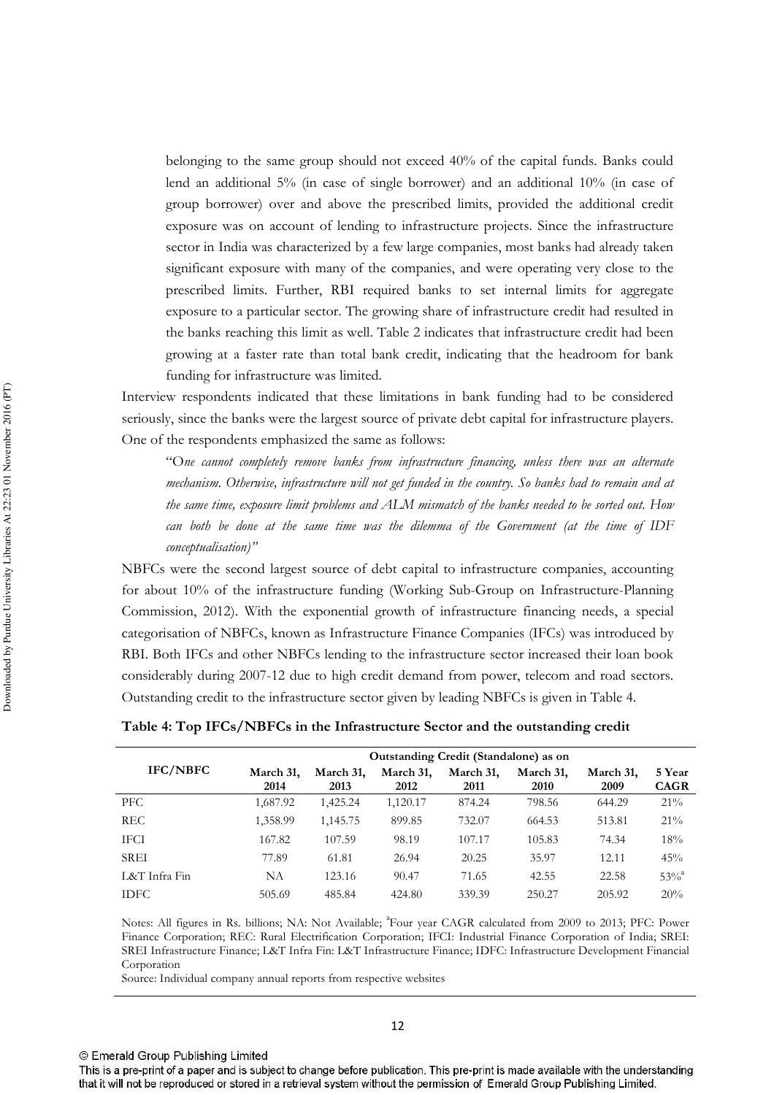belonging to the same group should not exceed 40% of the capital funds. Banks could lend an additional  $5\%$  (in case of single borrower) and an additional  $10\%$  (in case of group borrower) over and above the prescribed limits, provided the additional credit exposure was on account of lending to infrastructure projects. Since the infrastructure sector in India was characterized by a few large companies, most banks had already taken significant exposure with many of the companies, and were operating very close to the prescribed limits. Further, RBI required banks to set internal limits for aggregate exposure to a particular sector. The growing share of infrastructure credit had resulted in the banks reaching this limit as well. Table 2 indicates that infrastructure credit had been growing at a faster rate than total bank credit, indicating that the headroom for bank funding for infrastructure was limited.

Interview respondents indicated that these limitations in bank funding had to be considered seriously, since the banks were the largest source of private debt capital for infrastructure players. One of the respondents emphasized the same as follows:

"One cannot completely remove banks from infrastructure financing, unless there was an alternate mechanism. Otherwise, infrastructure will not get funded in the country. So banks had to remain and at the same time, exposure limit problems and ALM mismatch of the banks needed to be sorted out. How can both be done at the same time was the dilemma of the Government (at the time of IDF conceptualisation)"

NBFCs were the second largest source of debt capital to infrastructure companies, accounting for about 10% of the infrastructure funding (Working Sub-Group on Infrastructure-Planning Commission, 2012). With the exponential growth of infrastructure financing needs, a special categorisation of NBFCs, known as Infrastructure Finance Companies (IFCs) was introduced by RBI. Both IFCs and other NBFCs lending to the infrastructure sector increased their loan book considerably during 2007-12 due to high credit demand from power, telecom and road sectors. Outstanding credit to the infrastructure sector given by leading NBFCs is given in Table 4.

|                 | Outstanding Credit (Standalone) as on |                   |                   |                   |                   |                   |                       |  |  |
|-----------------|---------------------------------------|-------------------|-------------------|-------------------|-------------------|-------------------|-----------------------|--|--|
| <b>IFC/NBFC</b> | March 31,<br>2014                     | March 31,<br>2013 | March 31,<br>2012 | March 31,<br>2011 | March 31,<br>2010 | March 31,<br>2009 | 5 Year<br><b>CAGR</b> |  |  |
| PFC.            | 1,687.92                              | 1,425.24          | 1,120.17          | 874.24            | 798.56            | 644.29            | 21%                   |  |  |
| <b>REC</b>      | 1,358.99                              | 1,145.75          | 899.85            | 732.07            | 664.53            | 513.81            | $21\%$                |  |  |
| <b>IFCI</b>     | 167.82                                | 107.59            | 98.19             | 107.17            | 105.83            | 74.34             | 18%                   |  |  |
| <b>SREI</b>     | 77.89                                 | 61.81             | 26.94             | 20.25             | 35.97             | 12.11             | 45%                   |  |  |
| L&T Infra Fin   | NΑ                                    | 123.16            | 90.47             | 71.65             | 42.55             | 22.58             | $53%^{a}$             |  |  |
| <b>IDFC</b>     | 505.69                                | 485.84            | 424.80            | 339.39            | 250.27            | 205.92            | 20%                   |  |  |

Table 4: Top IFCs/NBFCs in the Infrastructure Sector and the outstanding credit

Notes: All figures in Rs. billions; NA: Not Available; <sup>a</sup>Four year CAGR calculated from 2009 to 2013; PFC: Power Finance Corporation; REC: Rural Electrification Corporation; IFCI: Industrial Finance Corporation of India; SREI: SREI Infrastructure Finance; L&T Infra Fin: L&T Infrastructure Finance; IDFC: Infrastructure Development Financial Corporation

Source: Individual company annual reports from respective websites

<sup>©</sup> Emerald Group Publishing Limited

This is a pre-print of a paper and is subject to change before publication. This pre-print is made available with the understanding that it will not be reproduced or stored in a retrieval system without the permission of Emerald Group Publishing Limited.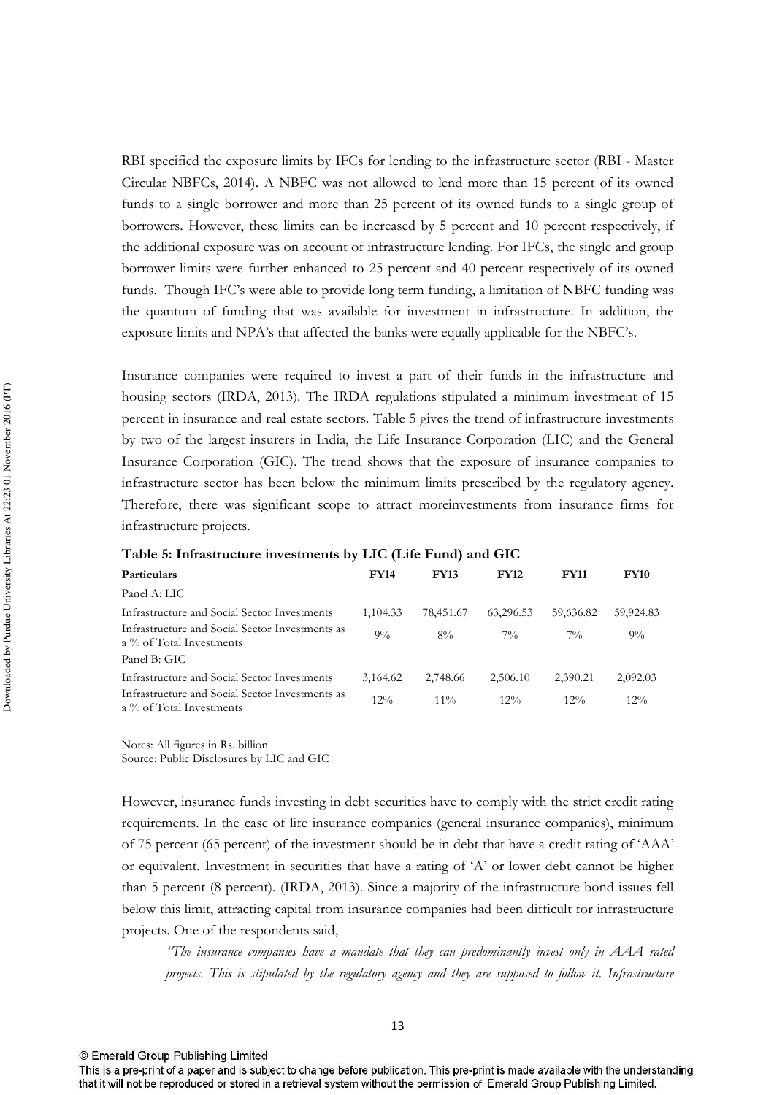RBI specified the exposure limits by IFCs for lending to the infrastructure sector (RBI - Master Circular NBFCs, 2014). A NBFC was not allowed to lend more than 15 percent of its owned funds to a single borrower and more than 25 percent of its owned funds to a single group of borrowers. However, these limits can be increased by 5 percent and 10 percent respectively, if the additional exposure was on account of infrastructure lending. For IFCs, the single and group borrower limits were further enhanced to 25 percent and 40 percent respectively of its owned funds. Though IFC's were able to provide long term funding, a limitation of NBFC funding was the quantum of funding that was available for investment in infrastructure. In addition, the exposure limits and NPA's that affected the banks were equally applicable for the NBFC's.

Insurance companies were required to invest a part of their funds in the infrastructure and housing sectors (IRDA, 2013). The IRDA regulations stipulated a minimum investment of 15 percent in insurance and real estate sectors. Table 5 gives the trend of infrastructure investments by two of the largest insurers in India, the Life Insurance Corporation (LIC) and the General Insurance Corporation (GIC). The trend shows that the exposure of insurance companies to infrastructure sector has been below the minimum limits prescribed by the regulatory agency. Therefore, there was significant scope to attract moreinvestments from insurance firms for infrastructure projects.

| <b>Particulars</b>                                                          | <b>FY14</b> | <b>FY13</b> | <b>FY12</b> | <b>FY11</b> | <b>FY10</b> |
|-----------------------------------------------------------------------------|-------------|-------------|-------------|-------------|-------------|
| Panel A: LIC                                                                |             |             |             |             |             |
| Infrastructure and Social Sector Investments                                | 1,104.33    | 78,451.67   | 63,296.53   | 59,636.82   | 59,924.83   |
| Infrastructure and Social Sector Investments as<br>a % of Total Investments | $9\%$       | 8%          | $7\%$       | $7\%$       | $9\%$       |
| Panel B: GIC                                                                |             |             |             |             |             |
| Infrastructure and Social Sector Investments                                | 3,164.62    | 2,748.66    | 2,506.10    | 2,390.21    | 2,092.03    |
| Infrastructure and Social Sector Investments as<br>a % of Total Investments | 12%         | $11\%$      | $12\%$      | $12\%$      | $12\%$      |
|                                                                             |             |             |             |             |             |

Table 5: Infrastructure investments by LIC (Life Fund) and GIC

Notes: All figures in Rs. billion Source: Public Disclosures by LIC and GIC

However, insurance funds investing in debt securities have to comply with the strict credit rating requirements. In the case of life insurance companies (general insurance companies), minimum of 75 percent (65 percent) of the investment should be in debt that have a credit rating of 'AAA' or equivalent. Investment in securities that have a rating of 'A' or lower debt cannot be higher than 5 percent (8 percent). (IRDA, 2013). Since a majority of the infrastructure bond issues fell below this limit, attracting capital from insurance companies had been difficult for infrastructure projects. One of the respondents said,

The insurance companies have a mandate that they can predominantly invest only in AAA rated projects. This is stipulated by the regulatory agency and they are supposed to follow it. Infrastructure

This is a pre-print of a paper and is subject to change before publication. This pre-print is made available with the understanding that it will not be reproduced or stored in a retrieval system without the permission of Emerald Group Publishing Limited.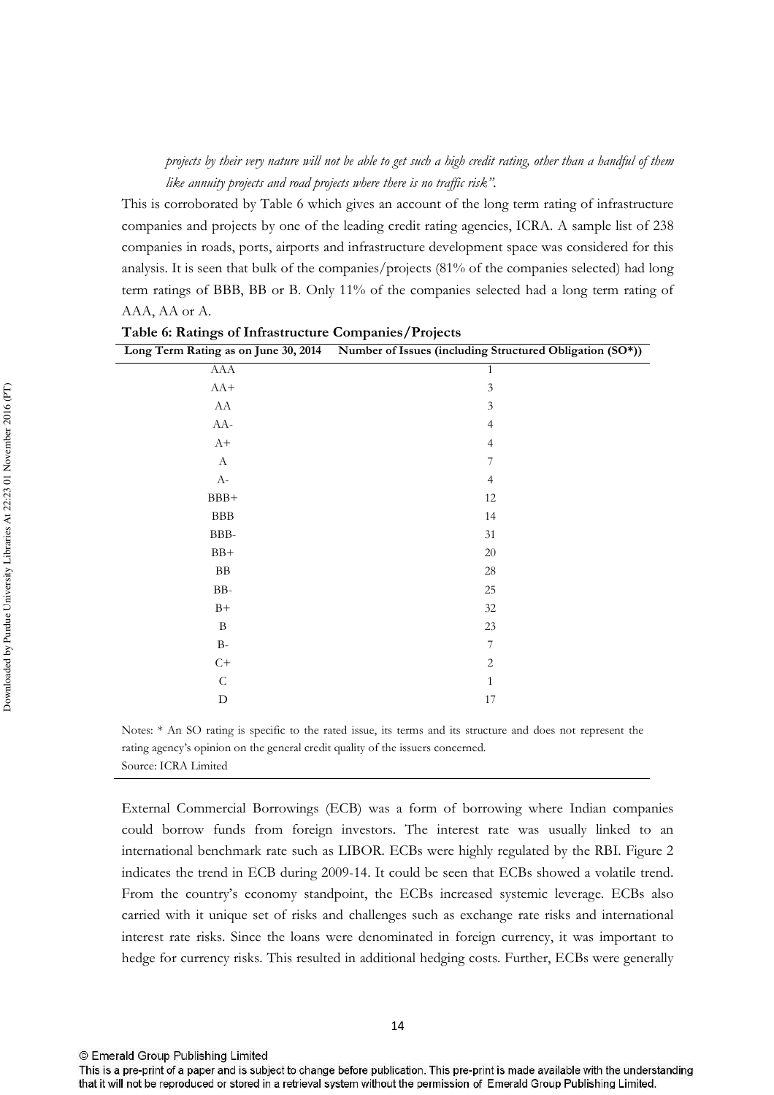projects by their very nature will not be able to get such a high credit rating, other than a handful of them like annuity projects and road projects where there is no traffic risk".

This is corroborated by Table 6 which gives an account of the long term rating of infrastructure companies and projects by one of the leading credit rating agencies, ICRA. A sample list of 238 companies in roads, ports, airports and infrastructure development space was considered for this analysis. It is seen that bulk of the companies/projects (81% of the companies selected) had long term ratings of BBB, BB or B. Only 11% of the companies selected had a long term rating of AAA, AA or A.

|                           | Long Term Rating as on June 30, 2014 Number of Issues (including Structured Obligation (SO*)) |
|---------------------------|-----------------------------------------------------------------------------------------------|
| AAA                       | $\,1\,$                                                                                       |
| $AA+$                     | $\mathfrak{Z}$                                                                                |
| ${\rm AA}$                | $\mathfrak{Z}$                                                                                |
| $AA-$                     | $\overline{4}$                                                                                |
| $A+$                      | $\overline{4}$                                                                                |
| $\boldsymbol{\mathrm{A}}$ | $\overline{\mathcal{I}}$                                                                      |
| $\rm A$ -                 | $\overline{4}$                                                                                |
| $BBB+$                    | $12\,$                                                                                        |
| ${\rm BBB}$               | 14                                                                                            |
| $BBB-$                    | $31\,$                                                                                        |
| $BB+$                     | $20\,$                                                                                        |
| ${\rm BB}$                | $28\,$                                                                                        |
| $BB-$                     | $25\,$                                                                                        |
| $B+$                      | $32\,$                                                                                        |
| $\, {\bf B}$              | $23\,$                                                                                        |
| $\rm B$ -                 | $\overline{\mathcal{I}}$                                                                      |
| $C+$                      | $\overline{c}$                                                                                |
| ${\bf C}$                 | $\mathbf{1}$                                                                                  |
| ${\rm D}$                 | $17\,$                                                                                        |

Table 6: Ratings of Infrastructure Companies/Projects

Notes: \* An SO rating is specific to the rated issue, its terms and its structure and does not represent the rating agency's opinion on the general credit quality of the issuers concerned. Source: ICRA Limited

External Commercial Borrowings (ECB) was a form of borrowing where Indian companies could borrow funds from foreign investors. The interest rate was usually linked to an international benchmark rate such as LIBOR. ECBs were highly regulated by the RBI. Figure 2 indicates the trend in ECB during 2009-14. It could be seen that ECBs showed a volatile trend. From the country's economy standpoint, the ECBs increased systemic leverage. ECBs also carried with it unique set of risks and challenges such as exchange rate risks and international interest rate risks. Since the loans were denominated in foreign currency, it was important to hedge for currency risks. This resulted in additional hedging costs. Further, ECBs were generally

This is a pre-print of a paper and is subject to change before publication. This pre-print is made available with the understanding that it will not be reproduced or stored in a retrieval system without the permission of Emerald Group Publishing Limited.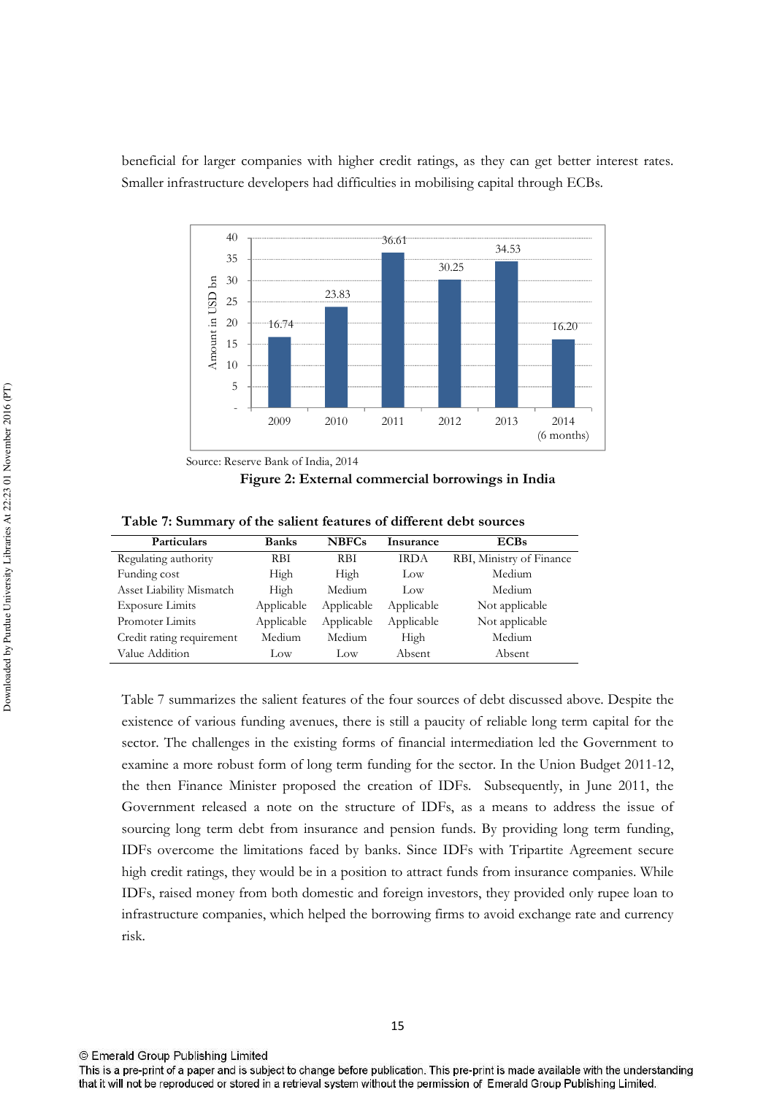beneficial for larger companies with higher credit ratings, as they can get better interest rates. Smaller infrastructure developers had difficulties in mobilising capital through ECBs.



Source: Reserve Bank of India, 2014

Figure 2: External commercial borrowings in India

| Table 7: Summary of the salient features of different debt sources |  |                                                                                                     |     |
|--------------------------------------------------------------------|--|-----------------------------------------------------------------------------------------------------|-----|
| $\mathbf{D}$ and $\mathbf{D}$ and $\mathbf{D}$ and $\mathbf{D}$    |  | $\mathbf{D}_{\text{out}}$ $\mathbf{M} \mathbf{D} \mathbf{D} \mathbf{C}$ . $\mathbf{L}_{\text{out}}$ | ECD |

| Particulars               | <b>Banks</b> | <b>NBFCs</b> | Insurance   | <b>ECBs</b>              |
|---------------------------|--------------|--------------|-------------|--------------------------|
| Regulating authority      | RBI          | RBI          | <b>IRDA</b> | RBI, Ministry of Finance |
| Funding cost              | High         | High         | Low         | Medium                   |
| Asset Liability Mismatch  | High         | Medium       | Low         | Medium                   |
| <b>Exposure Limits</b>    | Applicable   | Applicable   | Applicable  | Not applicable           |
| Promoter Limits           | Applicable   | Applicable   | Applicable  | Not applicable           |
| Credit rating requirement | Medium       | Medium       | High        | Medium                   |
| Value Addition            | Low          | Low          | Absent      | Absent                   |

Table 7 summarizes the salient features of the four sources of debt discussed above. Despite the existence of various funding avenues, there is still a paucity of reliable long term capital for the sector. The challenges in the existing forms of financial intermediation led the Government to examine a more robust form of long term funding for the sector. In the Union Budget 2011-12, the then Finance Minister proposed the creation of IDFs. Subsequently, in June 2011, the Government released a note on the structure of IDFs, as a means to address the issue of sourcing long term debt from insurance and pension funds. By providing long term funding, IDFs overcome the limitations faced by banks. Since IDFs with Tripartite Agreement secure high credit ratings, they would be in a position to attract funds from insurance companies. While IDFs, raised money from both domestic and foreign investors, they provided only rupee loan to infrastructure companies, which helped the borrowing firms to avoid exchange rate and currency risk.

<sup>©</sup> Emerald Group Publishing Limited

This is a pre-print of a paper and is subject to change before publication. This pre-print is made available with the understanding that it will not be reproduced or stored in a retrieval system without the permission of Emerald Group Publishing Limited.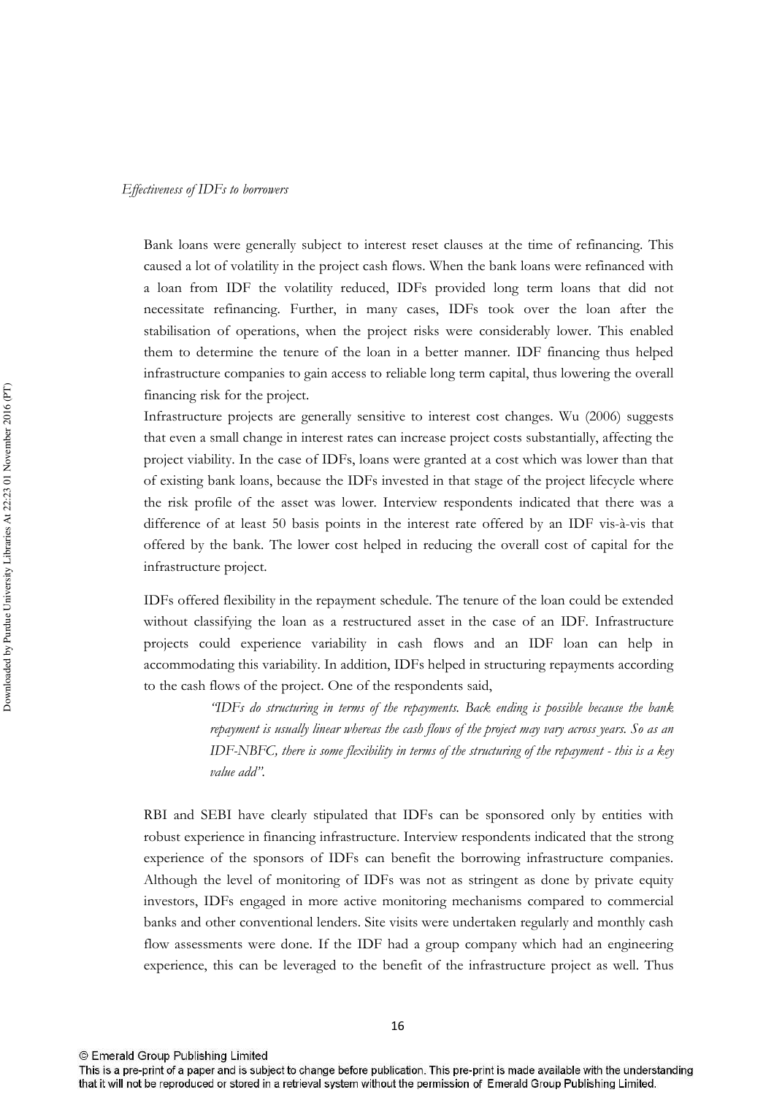Bank loans were generally subject to interest reset clauses at the time of refinancing. This caused a lot of volatility in the project cash flows. When the bank loans were refinanced with a loan from IDF the volatility reduced, IDFs provided long term loans that did not necessitate refinancing. Further, in many cases, IDFs took over the loan after the stabilisation of operations, when the project risks were considerably lower. This enabled them to determine the tenure of the loan in a better manner. IDF financing thus helped infrastructure companies to gain access to reliable long term capital, thus lowering the overall financing risk for the project.

Infrastructure projects are generally sensitive to interest cost changes. Wu (2006) suggests that even a small change in interest rates can increase project costs substantially, affecting the project viability. In the case of IDFs, loans were granted at a cost which was lower than that of existing bank loans, because the IDFs invested in that stage of the project lifecycle where the risk profile of the asset was lower. Interview respondents indicated that there was a difference of at least 50 basis points in the interest rate offered by an IDF vis-à-vis that offered by the bank. The lower cost helped in reducing the overall cost of capital for the infrastructure project.

IDFs offered flexibility in the repayment schedule. The tenure of the loan could be extended without classifying the loan as a restructured asset in the case of an IDF. Infrastructure projects could experience variability in cash flows and an IDF loan can help in accommodating this variability. In addition, IDFs helped in structuring repayments according to the cash flows of the project. One of the respondents said,

> "IDFs do structuring in terms of the repayments. Back ending is possible because the bank repayment is usually linear whereas the cash flows of the project may vary across years. So as an IDF-NBFC, there is some flexibility in terms of the structuring of the repayment - this is a key value add".

RBI and SEBI have clearly stipulated that IDFs can be sponsored only by entities with robust experience in financing infrastructure. Interview respondents indicated that the strong experience of the sponsors of IDFs can benefit the borrowing infrastructure companies. Although the level of monitoring of IDFs was not as stringent as done by private equity investors, IDFs engaged in more active monitoring mechanisms compared to commercial banks and other conventional lenders. Site visits were undertaken regularly and monthly cash flow assessments were done. If the IDF had a group company which had an engineering experience, this can be leveraged to the benefit of the infrastructure project as well. Thus

This is a pre-print of a paper and is subject to change before publication. This pre-print is made available with the understanding that it will not be reproduced or stored in a retrieval system without the permission of Emerald Group Publishing Limited.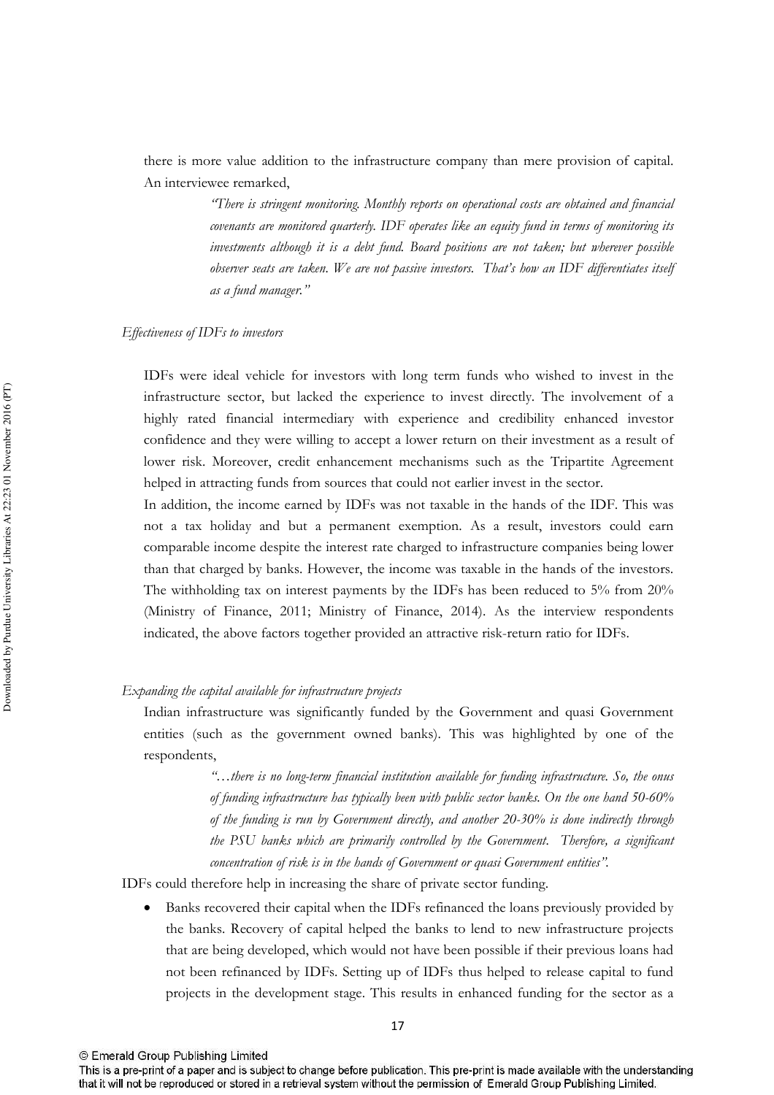there is more value addition to the infrastructure company than mere provision of capital. An interviewee remarked,

> "There is stringent monitoring. Monthly reports on operational costs are obtained and financial covenants are monitored quarterly. IDF operates like an equity fund in terms of monitoring its investments although it is a debt fund. Board positions are not taken; but wherever possible observer seats are taken. We are not passive investors. That's how an IDF differentiates itself as a fund manager."

## Effectiveness of IDFs to investors

IDFs were ideal vehicle for investors with long term funds who wished to invest in the infrastructure sector, but lacked the experience to invest directly. The involvement of a highly rated financial intermediary with experience and credibility enhanced investor confidence and they were willing to accept a lower return on their investment as a result of lower risk. Moreover, credit enhancement mechanisms such as the Tripartite Agreement helped in attracting funds from sources that could not earlier invest in the sector.

In addition, the income earned by IDFs was not taxable in the hands of the IDF. This was not a tax holiday and but a permanent exemption. As a result, investors could earn comparable income despite the interest rate charged to infrastructure companies being lower than that charged by banks. However, the income was taxable in the hands of the investors. The withholding tax on interest payments by the IDFs has been reduced to 5% from 20% (Ministry of Finance, 2011; Ministry of Finance, 2014). As the interview respondents indicated, the above factors together provided an attractive risk-return ratio for IDFs.

## Expanding the capital available for infrastructure projects

Indian infrastructure was significantly funded by the Government and quasi Government entities (such as the government owned banks). This was highlighted by one of the respondents,

> "...there is no long-term financial institution available for funding infrastructure, So, the onus of funding infrastructure has typically been with public sector banks. On the one hand 50-60% of the funding is run by Government directly, and another 20-30% is done indirectly through the PSU banks which are primarily controlled by the Government. Therefore, a significant concentration of risk is in the hands of Government or quasi Government entities".

IDFs could therefore help in increasing the share of private sector funding.

Banks recovered their capital when the IDFs refinanced the loans previously provided by the banks. Recovery of capital helped the banks to lend to new infrastructure projects that are being developed, which would not have been possible if their previous loans had not been refinanced by IDFs. Setting up of IDFs thus helped to release capital to fund projects in the development stage. This results in enhanced funding for the sector as a

<sup>©</sup> Emerald Group Publishing Limited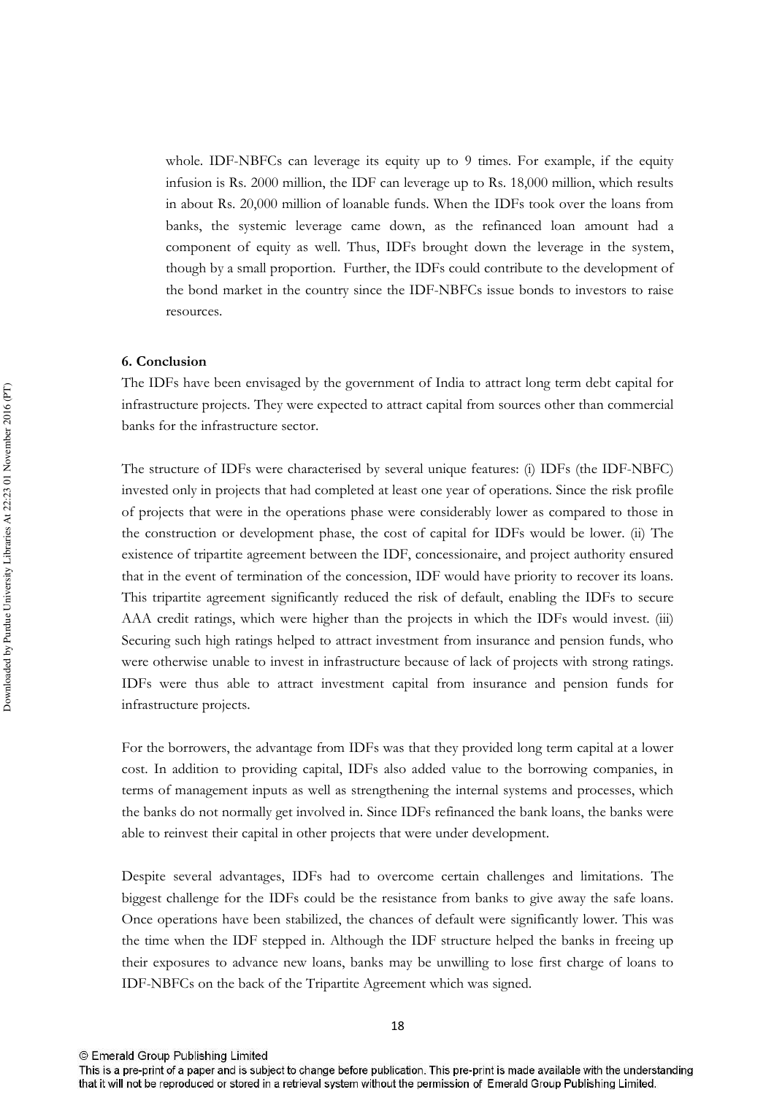whole. IDF-NBFCs can leverage its equity up to 9 times. For example, if the equity infusion is Rs. 2000 million, the IDF can leverage up to Rs. 18,000 million, which results in about Rs. 20,000 million of loanable funds. When the IDFs took over the loans from banks, the systemic leverage came down, as the refinanced loan amount had a component of equity as well. Thus, IDFs brought down the leverage in the system, though by a small proportion. Further, the IDFs could contribute to the development of the bond market in the country since the IDF-NBFCs issue bonds to investors to raise resources.

### 6. Conclusion

The IDFs have been envisaged by the government of India to attract long term debt capital for infrastructure projects. They were expected to attract capital from sources other than commercial banks for the infrastructure sector.

The structure of IDFs were characterised by several unique features: (i) IDFs (the IDF-NBFC) invested only in projects that had completed at least one year of operations. Since the risk profile of projects that were in the operations phase were considerably lower as compared to those in the construction or development phase, the cost of capital for IDFs would be lower. (ii) The existence of tripartite agreement between the IDF, concessionaire, and project authority ensured that in the event of termination of the concession, IDF would have priority to recover its loans. This tripartite agreement significantly reduced the risk of default, enabling the IDFs to secure AAA credit ratings, which were higher than the projects in which the IDFs would invest. (iii) Securing such high ratings helped to attract investment from insurance and pension funds, who were otherwise unable to invest in infrastructure because of lack of projects with strong ratings. IDFs were thus able to attract investment capital from insurance and pension funds for infrastructure projects.

For the borrowers, the advantage from IDFs was that they provided long term capital at a lower cost. In addition to providing capital, IDFs also added value to the borrowing companies, in terms of management inputs as well as strengthening the internal systems and processes, which the banks do not normally get involved in. Since IDFs refinanced the bank loans, the banks were able to reinvest their capital in other projects that were under development.

Despite several advantages, IDFs had to overcome certain challenges and limitations. The biggest challenge for the IDFs could be the resistance from banks to give away the safe loans. Once operations have been stabilized, the chances of default were significantly lower. This was the time when the IDF stepped in. Although the IDF structure helped the banks in freeing up their exposures to advance new loans, banks may be unwilling to lose first charge of loans to IDF-NBFCs on the back of the Tripartite Agreement which was signed.

This is a pre-print of a paper and is subject to change before publication. This pre-print is made available with the understanding that it will not be reproduced or stored in a retrieval system without the permission of Emerald Group Publishing Limited.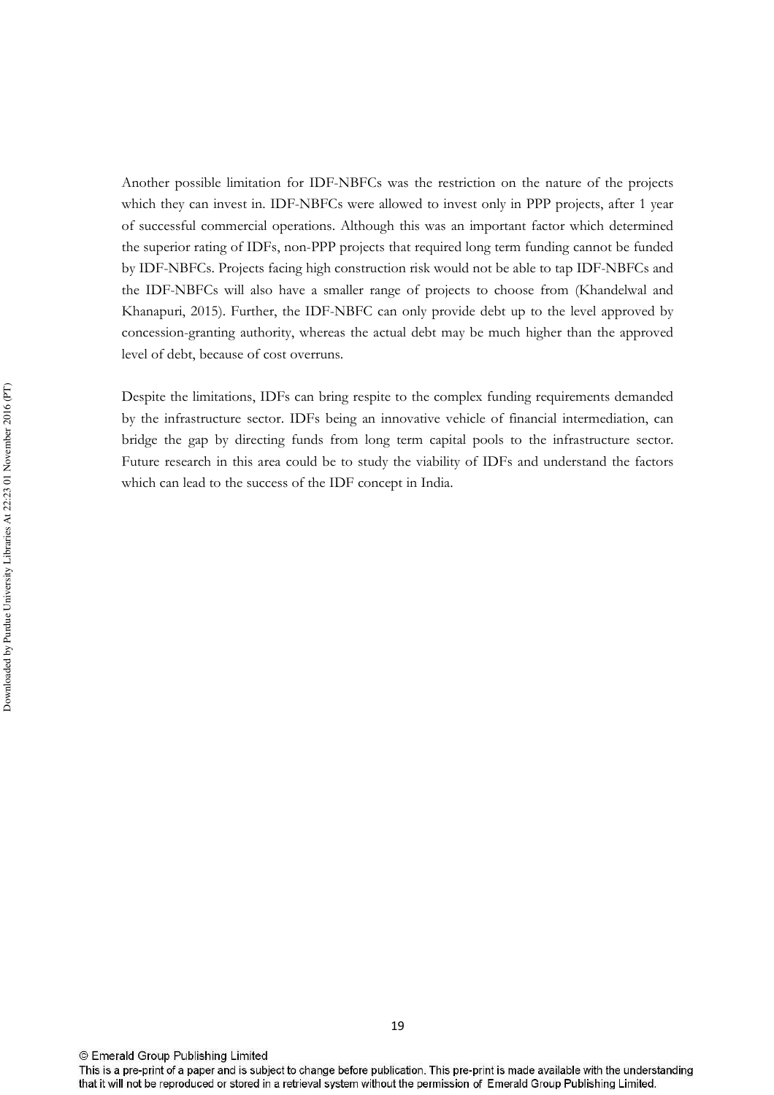Another possible limitation for IDF-NBFCs was the restriction on the nature of the projects which they can invest in. IDF-NBFCs were allowed to invest only in PPP projects, after 1 year of successful commercial operations. Although this was an important factor which determined the superior rating of IDFs, non-PPP projects that required long term funding cannot be funded by IDF-NBFCs. Projects facing high construction risk would not be able to tap IDF-NBFCs and the IDF-NBFCs will also have a smaller range of projects to choose from (Khandelwal and Khanapuri, 2015). Further, the IDF-NBFC can only provide debt up to the level approved by concession-granting authority, whereas the actual debt may be much higher than the approved level of debt, because of cost overruns.

Despite the limitations, IDFs can bring respite to the complex funding requirements demanded by the infrastructure sector. IDFs being an innovative vehicle of financial intermediation, can bridge the gap by directing funds from long term capital pools to the infrastructure sector. Future research in this area could be to study the viability of IDFs and understand the factors which can lead to the success of the IDF concept in India.

This is a pre-print of a paper and is subject to change before publication. This pre-print is made available with the understanding that it will not be reproduced or stored in a retrieval system without the permission of Emerald Group Publishing Limited.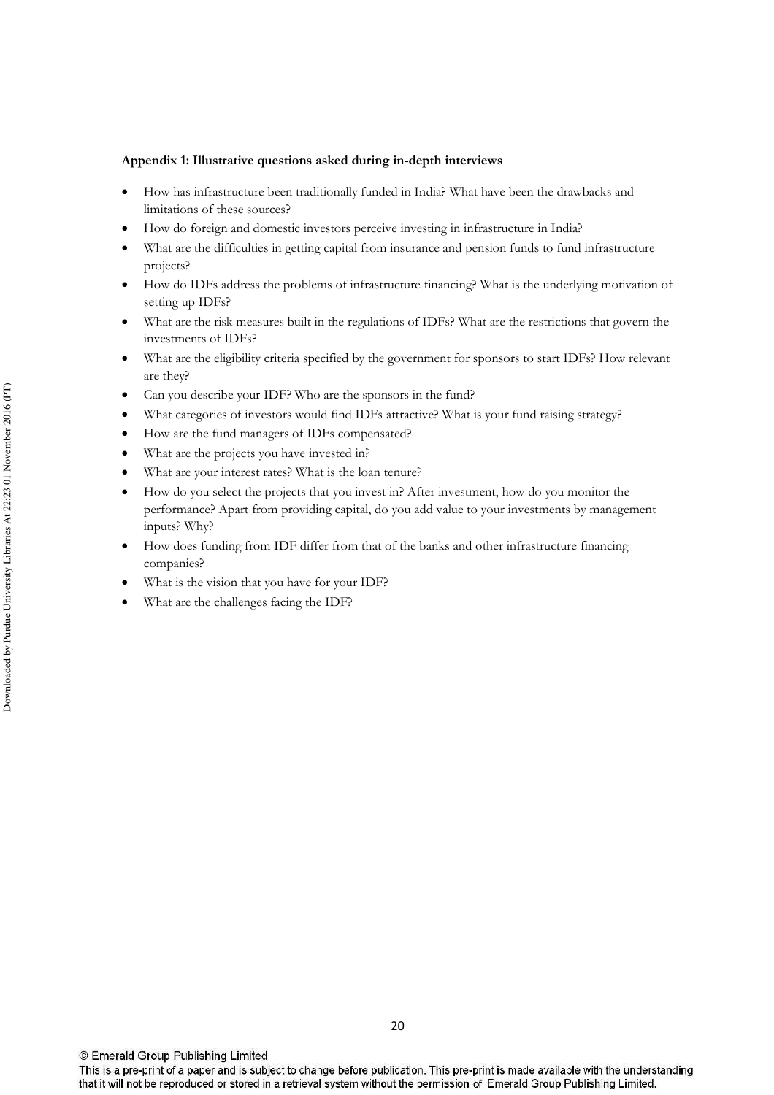### Appendix 1: Illustrative questions asked during in-depth interviews

- How has infrastructure been traditionally funded in India? What have been the drawbacks and limitations of these sources?
- How do foreign and domestic investors perceive investing in infrastructure in India?
- What are the difficulties in getting capital from insurance and pension funds to fund infrastructure projects?
- How do IDFs address the problems of infrastructure financing? What is the underlying motivation of setting up IDFs?
- What are the risk measures built in the regulations of IDFs? What are the restrictions that govern the investments of IDFs?
- What are the eligibility criteria specified by the government for sponsors to start IDFs? How relevant are they?
- Can you describe your IDF? Who are the sponsors in the fund?
- What categories of investors would find IDFs attractive? What is your fund raising strategy?
- How are the fund managers of IDFs compensated?
- What are the projects you have invested in?
- What are your interest rates? What is the loan tenure?
- How do you select the projects that you invest in? After investment, how do you monitor the performance? Apart from providing capital, do you add value to your investments by management inputs? Why?
- How does funding from IDF differ from that of the banks and other infrastructure financing companies?
- What is the vision that you have for your IDF?
- What are the challenges facing the IDF?

This is a pre-print of a paper and is subject to change before publication. This pre-print is made available with the understanding that it will not be reproduced or stored in a retrieval system without the permission of Emerald Group Publishing Limited.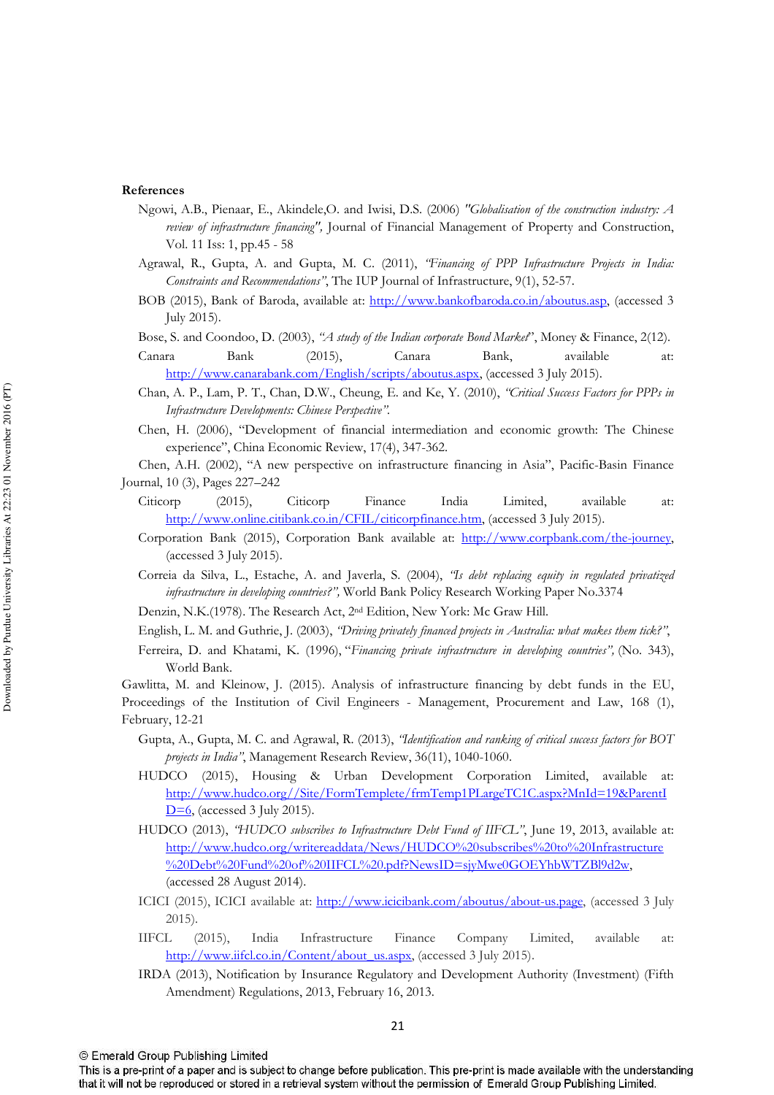#### References

- Ngowi, A.B., Pienaar, E., Akindele,O. and Iwisi, D.S. (2006) "Globalisation of the construction industry: A review of infrastructure financing", Journal of Financial Management of Property and Construction, Vol. 11 Iss: 1, pp.45 - 58
- Agrawal, R., Gupta, A. and Gupta, M. C. (2011), "Financing of PPP Infrastructure Projects in India: Constraints and Recommendations", The IUP Journal of Infrastructure, 9(1), 52-57.
- BOB (2015), Bank of Baroda, available at: http://www.bankofbaroda.co.in/aboutus.asp, (accessed 3 July 2015).
- Bose, S. and Coondoo, D. (2003), "A study of the Indian corporate Bond Market", Money & Finance, 2(12).
- Canara Bank  $(2015),$ Canara Bank. available at: http://www.canarabank.com/English/scripts/aboutus.aspx, (accessed 3 July 2015).
- Chan, A. P., Lam, P. T., Chan, D.W., Cheung, E. and Ke, Y. (2010), "Critical Success Factors for PPPs in Infrastructure Developments: Chinese Perspective".
- Chen, H. (2006), "Development of financial intermediation and economic growth: The Chinese experience", China Economic Review, 17(4), 347-362.

Chen, A.H. (2002), "A new perspective on infrastructure financing in Asia", Pacific-Basin Finance Journal, 10 (3), Pages 227-242

- Citicorp  $(2015),$ Citicorp Finance India Limited. available at: http://www.online.citibank.co.in/CFIL/citicorpfinance.htm, (accessed 3 July 2015).
- Corporation Bank (2015), Corporation Bank available at: http://www.corpbank.com/the-journey. (accessed 3 July 2015).
- Correia da Silva, L., Estache, A. and Javerla, S. (2004), 'Ts debt replacing equity in regulated privatized infrastructure in developing countries?", World Bank Policy Research Working Paper No.3374
- Denzin, N.K.(1978). The Research Act, 2<sup>nd</sup> Edition, New York: Mc Graw Hill.
- English, L. M. and Guthrie, J. (2003), 'Driving privately financed projects in Australia: what makes them tick?",
- Ferreira, D. and Khatami, K. (1996), "Financing private infrastructure in developing countries", (No. 343), World Bank.

Gawlitta, M. and Kleinow, J. (2015). Analysis of infrastructure financing by debt funds in the EU, Proceedings of the Institution of Civil Engineers - Management, Procurement and Law, 168 (1), February, 12-21

- Gupta, A., Gupta, M. C. and Agrawal, R. (2013), *'Identification and ranking of critical success factors for BOT* projects in India", Management Research Review, 36(11), 1040-1060.
- HUDCO (2015), Housing & Urban Development Corporation Limited, available at: http://www.hudco.org//Site/FormTemplete/frmTemp1PLargeTC1C.aspx?MnId=19&ParentI  $D=6$ , (accessed 3 July 2015).
- HUDCO (2013), "HUDCO subscribes to Infrastructure Debt Fund of IIFCL", June 19, 2013, available at: http://www.hudco.org/writereaddata/News/HUDCO%20subscribes%20to%20Infrastructure %20Debt%20Fund%20of%20HFCL%20.pdf?NewsID=sjvMwe0GOEYhbWTZBl9d2w (accessed 28 August 2014).
- ICICI (2015), ICICI available at: http://www.icicibank.com/aboutus/about-us.page, (accessed 3 July  $2015$ ).
- **IIFCL**  $(2015)$ . India Infrastructure Finance Company Limited. available at: http://www.iifcl.co.in/Content/about\_us.aspx, (accessed 3 July 2015).
- IRDA (2013), Notification by Insurance Regulatory and Development Authority (Investment) (Fifth Amendment) Regulations, 2013, February 16, 2013.

This is a pre-print of a paper and is subject to change before publication. This pre-print is made available with the understanding that it will not be reproduced or stored in a retrieval system without the permission of Emerald Group Publishing Limited.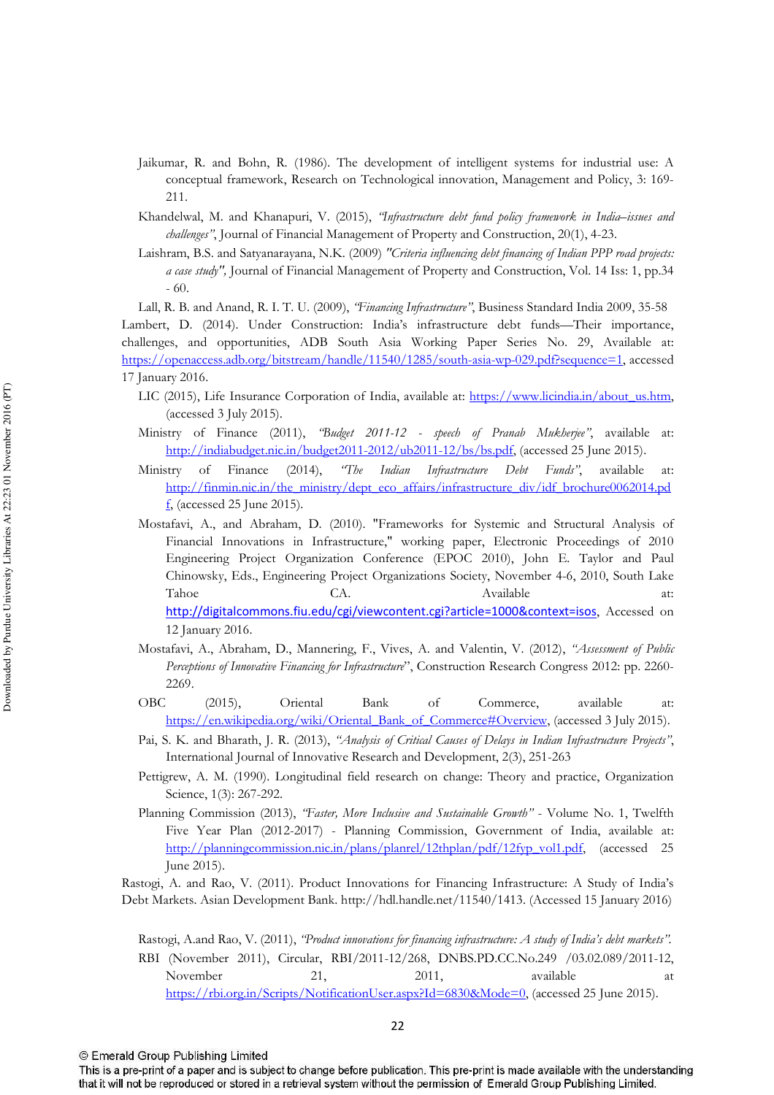- Jaikumar, R. and Bohn, R. (1986). The development of intelligent systems for industrial use: A conceptual framework, Research on Technological innovation, Management and Policy, 3: 169-211
- Khandelwal, M. and Khanapuri, V. (2015), 'Infrastructure debt fund policy framework in India-issues and challenges", Journal of Financial Management of Property and Construction, 20(1), 4-23.
- Laishram, B.S. and Satyanarayana, N.K. (2009) "Criteria influencing debt financing of Indian PPP road projects: a case study", Journal of Financial Management of Property and Construction, Vol. 14 Iss: 1, pp.34  $-60.$

Lall, R. B. and Anand, R. I. T. U. (2009), "Financing Infrastructure", Business Standard India 2009, 35-58 Lambert, D. (2014). Under Construction: India's infrastructure debt funds—Their importance. challenges, and opportunities, ADB South Asia Working Paper Series No. 29, Available at: https://openaccess.adb.org/bitstream/handle/11540/1285/south-asia-wp-029.pdf?sequence=1, accessed 17 January 2016.

- LIC (2015), Life Insurance Corporation of India, available at: https://www.licindia.in/about\_us.htm. (accessed  $3$  July 2015).
- Ministry of Finance (2011), 'Budget 2011-12 speech of Pranab Mukherjee", available at: http://indiabudget.nic.in/budget2011-2012/ub2011-12/bs/bs.pdf, (accessed 25 June 2015)
- $(2014),$ Debt Funds". Ministry of Finance  $T$ be Indian Infrastructure available at: http://finmin.nic.in/the ministry/dept eco affairs/infrastructure div/idf brochure0062014.pd  $\underline{\mathbf{f}}$ , (accessed 25 June 2015).
- Mostafavi, A., and Abraham, D. (2010). "Frameworks for Systemic and Structural Analysis of Financial Innovations in Infrastructure," working paper, Electronic Proceedings of 2010 Engineering Project Organization Conference (EPOC 2010), John E. Taylor and Paul Chinowsky, Eds., Engineering Project Organizations Society, November 4-6, 2010, South Lake Tahoe CA. Available  $at$ http://digitalcommons.fiu.edu/cgi/viewcontent.cgi?article=1000&context=isos, Accessed on 12 January 2016.
- Mostafavi, A., Abraham, D., Mannering, F., Vives, A. and Valentin, V. (2012), "Assessment of Public Perceptions of Innovative Financing for Infrastructure", Construction Research Congress 2012: pp. 2260-2269.
- $OBC$  $(2015),$ Oriental Commerce, available Bank of at: https://en.wikipedia.org/wiki/Oriental Bank of Commerce#Overview, (accessed 3 July 2015).
- Pai, S. K. and Bharath, J. R. (2013), "Analysis of Critical Causes of Delays in Indian Infrastructure Projects". International Journal of Innovative Research and Development, 2(3), 251-263
- Pettigrew, A. M. (1990). Longitudinal field research on change: Theory and practice, Organization Science, 1(3): 267-292.
- Planning Commission (2013), 'Faster, More Inclusive and Sustainable Growth'' Volume No. 1, Twelfth Five Year Plan (2012-2017) - Planning Commission, Government of India, available at: http://planningcommission.nic.in/plans/planrel/12thplan/pdf/12fyp\_vol1.pdf, (accessed 25 June 2015).

Rastogi, A. and Rao, V. (2011). Product Innovations for Financing Infrastructure: A Study of India's Debt Markets. Asian Development Bank. http://hdl.handle.net/11540/1413. (Accessed 15 January 2016)

Rastogi, A.and Rao, V. (2011), "Product innovations for financing infrastructure: A study of India's debt markets". RBI (November 2011), Circular, RBI/2011-12/268, DNBS.PD.CC.No.249 /03.02.089/2011-12. November 2011, available 21. at https://rbi.org.in/Scripts/NotificationUser.aspx?Id=6830&Mode=0, (accessed 25 June 2015).

<sup>©</sup> Emerald Group Publishing Limited

This is a pre-print of a paper and is subject to change before publication. This pre-print is made available with the understanding that it will not be reproduced or stored in a retrieval system without the permission of Emerald Group Publishing Limited.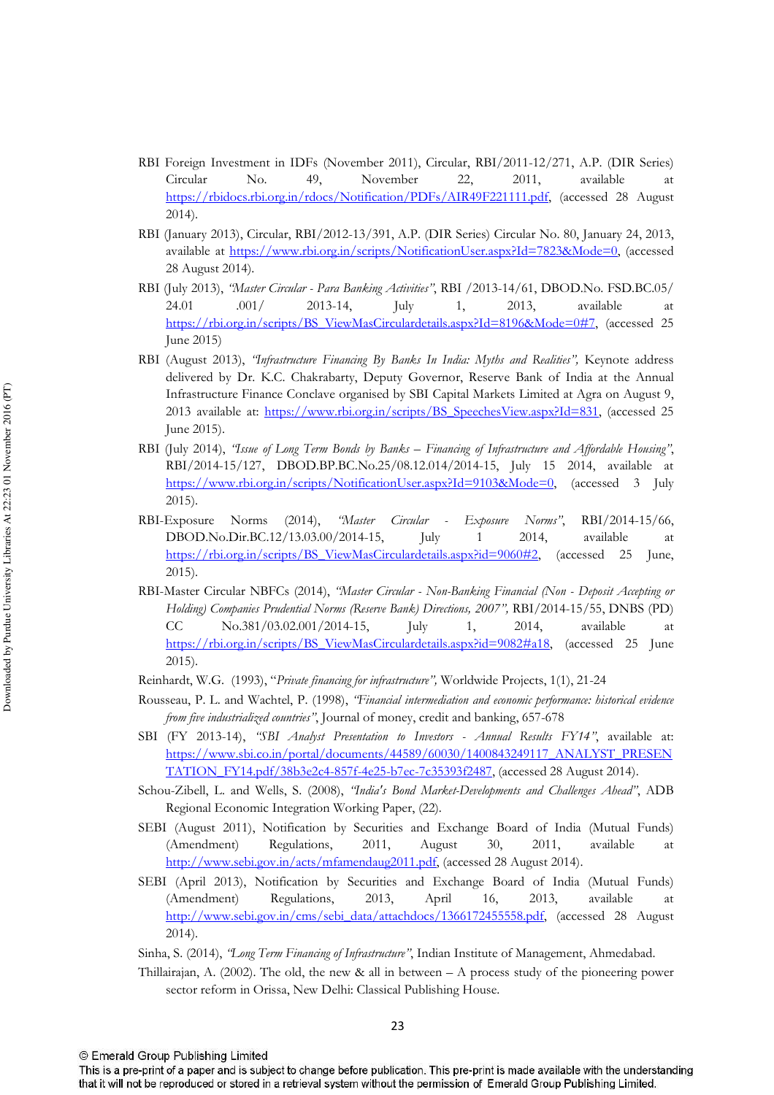- RBI Foreign Investment in IDFs (November 2011), Circular, RBI/2011-12/271, A.P. (DIR Series) Circular No. 49. November 22, 2011. available at https://rbidocs.rbi.org.in/rdocs/Notification/PDFs/AIR49F221111.pdf. (accessed 28 August  $2014$ ).
- RBI (January 2013), Circular, RBI/2012-13/391, A.P. (DIR Series) Circular No. 80, January 24, 2013, available at https://www.rbi.org.in/scripts/NotificationUser.aspx?Id=7823&Mode=0, (accessed 28 August 2014).
- RBI (July 2013), "Master Circular Para Banking Activities", RBI /2013-14/61, DBOD.No. FSD.BC.05/ 2013. 24.01  $.001/$  $2013 - 14$ , July 1, available <sub>2</sub>t https://rbi.org.in/scripts/BS\_ViewMasCirculardetails.aspx?Id=8196&Mode=0#7, (accessed 25 June 2015)
- RBI (August 2013), 'Infrastructure Financing By Banks In India: Myths and Realities", Keynote address delivered by Dr. K.C. Chakrabarty, Deputy Governor, Reserve Bank of India at the Annual Infrastructure Finance Conclave organised by SBI Capital Markets Limited at Agra on August 9, 2013 available at: https://www.rbi.org.in/scripts/BS SpeechesView.aspx?Id=831, (accessed 25 June 2015).
- RBI (July 2014), 'Issue of Long Term Bonds by Banks Financing of Infrastructure and Affordable Housing". RBI/2014-15/127, DBOD.BP.BC.No.25/08.12.014/2014-15, July 15 2014, available at https://www.rbi.org.in/scripts/NotificationUser.aspx?Id=9103&Mode=0, (accessed 3 July  $2015$ ).
- RBI-Exposure Norms  $(2014),$ 'Master Circular *Exposure* Norms". RBI/2014-15/66. 2014. DBOD.No.Dir.BC.12/13.03.00/2014-15. July  $\mathbf{1}$ available <sub>at</sub> https://rbi.org.in/scripts/BS\_ViewMasCirculardetails.aspx?id=9060#2. (accessed 25 June,  $2015$ ).
- RBI-Master Circular NBFCs (2014), "Master Circular Non-Banking Financial (Non Deposit Accepting or Holding) Companies Prudential Norms (Reserve Bank) Directions, 2007", RBI/2014-15/55, DNBS (PD) No.381/03.02.001/2014-15, 2014,  $CC$ July 1, available at https://rbi.org.in/scripts/BS\_ViewMasCirculardetails.aspx?id=9082#a18, (accessed 25 June  $2015$ ).
- Reinhardt, W.G. (1993), "Private financing for infrastructure", Worldwide Projects, 1(1), 21-24
- Rousseau, P. L. and Wachtel, P. (1998), "Financial intermediation and economic performance: historical evidence from five industrialized countries", Journal of money, credit and banking, 657-678
- SBI (FY 2013-14), "SBI Analyst Presentation to Investors Annual Results FY14", available at: https://www.sbi.co.in/portal/documents/44589/60030/1400843249117 ANALYST PRESEN TATION FY14.pdf/38b3e2c4-857f-4e25-b7ec-7c35393f2487, (accessed 28 August 2014).
- Schou-Zibell, L. and Wells, S. (2008), "India's Bond Market-Developments and Challenges Ahead", ADB Regional Economic Integration Working Paper, (22).
- SEBI (August 2011), Notification by Securities and Exchange Board of India (Mutual Funds) (Amendment) Regulations, 2011, August 30, 2011, available <sub>at</sub> http://www.sebi.gov.in/acts/mfamendaug2011.pdf, (accessed 28 August 2014).
- SEBI (April 2013), Notification by Securities and Exchange Board of India (Mutual Funds) Regulations, 2013, April 16, 2013, available (Amendment) <sub>2</sub>t http://www.sebi.gov.in/cms/sebi\_data/attachdocs/1366172455558.pdf, (accessed 28 August  $2014$ ).

Sinha, S. (2014), 'Long Term Financing of Infrastructure", Indian Institute of Management, Ahmedabad.

Thillairajan, A. (2002). The old, the new & all in between  $- A$  process study of the pioneering power sector reform in Orissa, New Delhi: Classical Publishing House.

This is a pre-print of a paper and is subject to change before publication. This pre-print is made available with the understanding that it will not be reproduced or stored in a retrieval system without the permission of Emerald Group Publishing Limited.